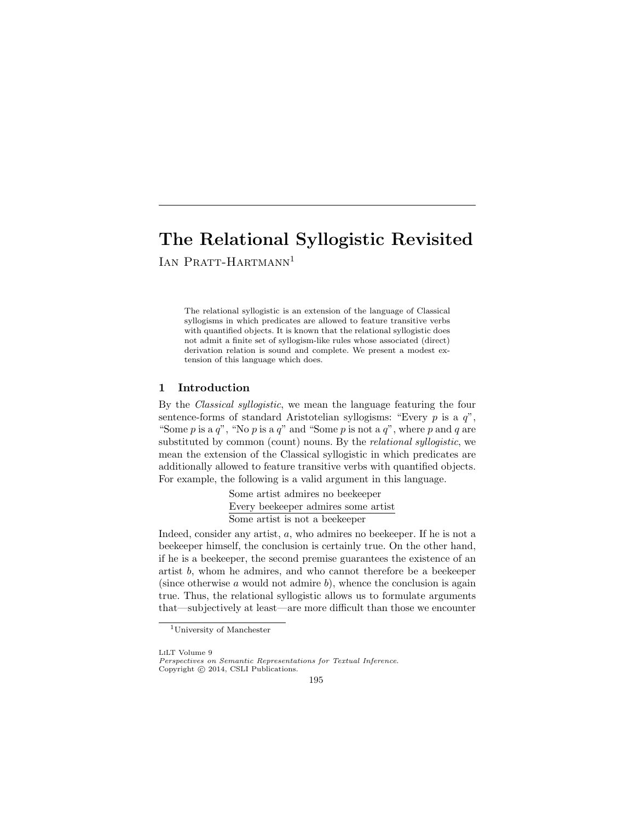# The Relational Syllogistic Revisited

IAN PRATT-HARTMANN<sup>1</sup>

The relational syllogistic is an extension of the language of Classical syllogisms in which predicates are allowed to feature transitive verbs with quantified objects. It is known that the relational syllogistic does not admit a finite set of syllogism-like rules whose associated (direct) derivation relation is sound and complete. We present a modest extension of this language which does.

# 1 Introduction

By the *Classical syllogistic*, we mean the language featuring the four sentence-forms of standard Aristotelian syllogisms: "Every  $p$  is a  $q$ ", "Some *p* is a *q*", "No *p* is a *q*" and "Some *p* is not a *q*", where *p* and *q* are substituted by common (count) nouns. By the *relational syllogistic*, we mean the extension of the Classical syllogistic in which predicates are additionally allowed to feature transitive verbs with quantified objects. For example, the following is a valid argument in this language.

> Some artist admires no beekeeper Every beekeeper admires some artist Some artist is not a beekeeper

Indeed, consider any artist, *a*, who admires no beekeeper. If he is not a beekeeper himself, the conclusion is certainly true. On the other hand, if he is a beekeeper, the second premise guarantees the existence of an artist *b*, whom he admires, and who cannot therefore be a beekeeper (since otherwise *a* would not admire *b*), whence the conclusion is again true. Thus, the relational syllogistic allows us to formulate arguments that—subjectively at least—are more difficult than those we encounter

*Perspectives on Semantic Representations for Textual Inference*. Copyright  $\odot$  2014, CSLI Publications.

<sup>1</sup>University of Manchester

LiLT Volume 9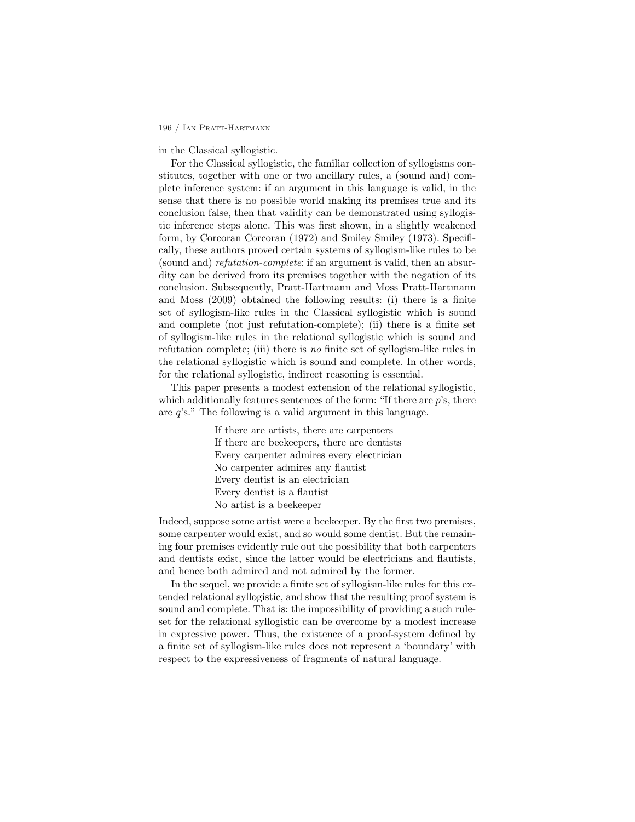in the Classical syllogistic.

For the Classical syllogistic, the familiar collection of syllogisms constitutes, together with one or two ancillary rules, a (sound and) complete inference system: if an argument in this language is valid, in the sense that there is no possible world making its premises true and its conclusion false, then that validity can be demonstrated using syllogistic inference steps alone. This was first shown, in a slightly weakened form, by Corcoran Corcoran (1972) and Smiley Smiley (1973). Specifically, these authors proved certain systems of syllogism-like rules to be (sound and) *refutation-complete*: if an argument is valid, then an absurdity can be derived from its premises together with the negation of its conclusion. Subsequently, Pratt-Hartmann and Moss Pratt-Hartmann and Moss (2009) obtained the following results: (i) there is a finite set of syllogism-like rules in the Classical syllogistic which is sound and complete (not just refutation-complete); (ii) there is a finite set of syllogism-like rules in the relational syllogistic which is sound and refutation complete; (iii) there is *no* finite set of syllogism-like rules in the relational syllogistic which is sound and complete. In other words, for the relational syllogistic, indirect reasoning is essential.

This paper presents a modest extension of the relational syllogistic, which additionally features sentences of the form: "If there are *p*'s, there are *q*'s." The following is a valid argument in this language.

> If there are artists, there are carpenters If there are beekeepers, there are dentists Every carpenter admires every electrician No carpenter admires any flautist Every dentist is an electrician Every dentist is a flautist No artist is a beekeeper

Indeed, suppose some artist were a beekeeper. By the first two premises, some carpenter would exist, and so would some dentist. But the remaining four premises evidently rule out the possibility that both carpenters and dentists exist, since the latter would be electricians and flautists, and hence both admired and not admired by the former.

In the sequel, we provide a finite set of syllogism-like rules for this extended relational syllogistic, and show that the resulting proof system is sound and complete. That is: the impossibility of providing a such ruleset for the relational syllogistic can be overcome by a modest increase in expressive power. Thus, the existence of a proof-system defined by a finite set of syllogism-like rules does not represent a 'boundary' with respect to the expressiveness of fragments of natural language.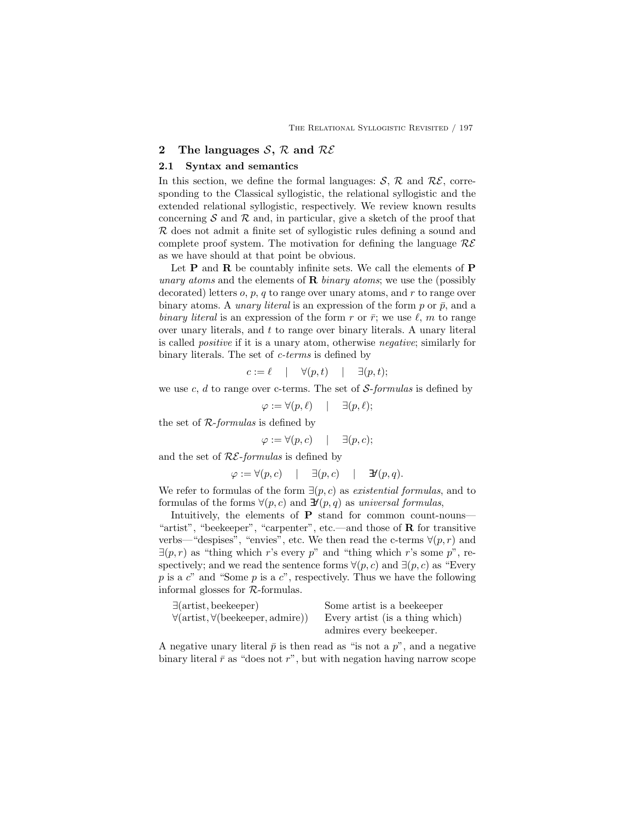# 2 The languages *S*, *R* and *RE*

# 2.1 Syntax and semantics

In this section, we define the formal languages:  $S$ ,  $R$  and  $R\mathcal{E}$ , corresponding to the Classical syllogistic, the relational syllogistic and the extended relational syllogistic, respectively. We review known results concerning  $S$  and  $R$  and, in particular, give a sketch of the proof that *R* does not admit a finite set of syllogistic rules defining a sound and complete proof system. The motivation for defining the language *RE* as we have should at that point be obvious.

Let  $P$  and  $R$  be countably infinite sets. We call the elements of  $P$ *unary atoms* and the elements of R *binary atoms*; we use the (possibly decorated) letters *o*, *p*, *q* to range over unary atoms, and *r* to range over binary atoms. A *unary literal* is an expression of the form  $p$  or  $\bar{p}$ , and a *binary literal* is an expression of the form  $r$  or  $\bar{r}$ ; we use  $\ell$ ,  $m$  to range over unary literals, and *t* to range over binary literals. A unary literal is called *positive* if it is a unary atom, otherwise *negative*; similarly for binary literals. The set of *c-terms* is defined by

$$
c := \ell \quad | \quad \forall (p, t) \quad | \quad \exists (p, t);
$$

we use *c*, *d* to range over c-terms. The set of *S*-*formulas* is defined by

$$
\varphi := \forall (p, \ell) \quad | \quad \exists (p, \ell);
$$

the set of *R*-*formulas* is defined by

$$
\varphi := \forall (p, c) \quad | \quad \exists (p, c);
$$

and the set of *RE*-*formulas* is defined by

$$
\varphi := \forall (p, c) \quad | \quad \exists (p, c) \quad | \quad \exists f(p, q).
$$

We refer to formulas of the form  $\exists (p, c)$  as *existential formulas*, and to formulas of the forms  $\forall (p, c)$  and  $\exists f(p, q)$  as *universal formulas*,

Intuitively, the elements of P stand for common count-nouns— "artist", "beekeeper", "carpenter", etc.—and those of  **for transitive** verbs—"despises", "envies", etc. We then read the c-terms  $\forall (p, r)$  and  $\exists (p, r)$  as "thing which *r*'s every *p*" and "thing which *r*'s some *p*", respectively; and we read the sentence forms  $\forall (p, c)$  and  $\exists (p, c)$  as "Every" *p* is a *c*" and "Some *p* is a *c*", respectively. Thus we have the following informal glosses for *R*-formulas.

| $\exists$ (artist, beekeeper)                     | Some artist is a beekeeper      |  |
|---------------------------------------------------|---------------------------------|--|
| $\forall$ (artist, $\forall$ (beekeeper, admire)) | Every artist (is a thing which) |  |
|                                                   | admires every beekeeper.        |  |

A negative unary literal  $\bar{p}$  is then read as "is not a  $p$ ", and a negative binary literal  $\bar{r}$  as "does not  $r$ ", but with negation having narrow scope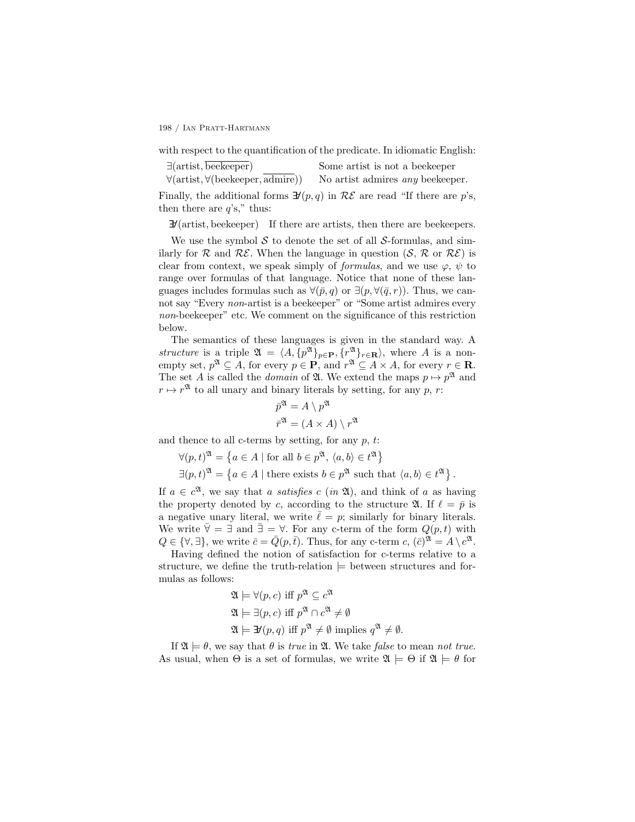with respect to the quantification of the predicate. In idiomatic English:

| $\exists$ (artist, beekeeper)                     | Some artist is not a beekeeper          |
|---------------------------------------------------|-----------------------------------------|
| $\forall$ (artist, $\forall$ (beekeeper, admire)) | No artist admires <i>any</i> beekeeper. |

Finally, the additional forms  $\mathbf{\Psi}(p,q)$  in  $\mathcal{RE}$  are read "If there are *p*'s, then there are  $q$ 's," thus:

Æ (artist*,* beekeeper) If there are artists, then there are beekeepers.

We use the symbol  $S$  to denote the set of all  $S$ -formulas, and similarly for  $R$  and  $R\mathcal{E}$ . When the language in question  $(S, R \text{ or } R\mathcal{E})$  is clear from context, we speak simply of *formulas*, and we use  $\varphi$ ,  $\psi$  to range over formulas of that language. Notice that none of these languages includes formulas such as  $\forall (\bar{p}, q)$  or  $\exists (p, \forall (\bar{q}, r))$ . Thus, we cannot say "Every *non*-artist is a beekeeper" or "Some artist admires every *non*-beekeeper" etc. We comment on the significance of this restriction below.

The semantics of these languages is given in the standard way. A *structure* is a triple  $\mathfrak{A} = \langle A, \{p^{\mathfrak{A}}\}_{p \in \mathbf{P}}, \{r^{\mathfrak{A}}\}_{r \in \mathbf{R}}\rangle$ , where *A* is a nonempty set,  $p^{\mathfrak{A}} \subseteq A$ , for every  $p \in \mathbf{P}$ , and  $r^{\mathfrak{A}} \subseteq A \times A$ , for every  $r \in \mathbf{R}$ . The set *A* is called the *domain* of **2**. We extend the maps  $p \mapsto p^{\mathfrak{A}}$  and  $r \mapsto r^{\mathfrak{A}}$  to all unary and binary literals by setting, for any *p*, *r*:

$$
\bar{p}^{\mathfrak{A}} = A \setminus p^{\mathfrak{A}}
$$

$$
\bar{r}^{\mathfrak{A}} = (A \times A) \setminus r^{\mathfrak{A}}
$$

and thence to all c-terms by setting, for any *p*, *t*:

$$
\forall (p, t)^{\mathfrak{A}} = \{ a \in A \mid \text{for all } b \in p^{\mathfrak{A}}, \langle a, b \rangle \in t^{\mathfrak{A}} \}
$$

$$
\exists (p, t)^{\mathfrak{A}} = \{ a \in A \mid \text{there exists } b \in p^{\mathfrak{A}} \text{ such that } \langle a, b \rangle \in t^{\mathfrak{A}} \}.
$$

If  $a \in c^{\mathfrak{A}}$ , we say that *a satisfies c* (*in* **2**), and think of *a* as having the property denoted by *c*, according to the structure  $\mathfrak{A}$ . If  $\ell = \bar{p}$  is a negative unary literal, we write  $\bar{\ell} = p$ ; similarly for binary literals. We write  $\bar{\forall} = \exists$  and  $\bar{\exists} = \forall$ . For any c-term of the form  $Q(p, t)$  with  $Q \in {\forall, \exists}$ , we write  $\bar{c} = \bar{Q}(p, \bar{t})$ . Thus, for any c-term *c*,  $(\bar{c})^{\mathfrak{A}} = A \setminus c^{\mathfrak{A}}$ .

Having defined the notion of satisfaction for c-terms relative to a structure, we define the truth-relation  $\models$  between structures and formulas as follows:

$$
\mathfrak{A} \models \forall (p, c) \text{ iff } p^{\mathfrak{A}} \subseteq c^{\mathfrak{A}}
$$
  

$$
\mathfrak{A} \models \exists (p, c) \text{ iff } p^{\mathfrak{A}} \cap c^{\mathfrak{A}} \neq \emptyset
$$
  

$$
\mathfrak{A} \models \mathfrak{B}(p, q) \text{ iff } p^{\mathfrak{A}} \neq \emptyset \text{ implies } q^{\mathfrak{A}} \neq \emptyset.
$$

If  $\mathfrak{A} \models \theta$ , we say that  $\theta$  is *true* in  $\mathfrak{A}$ . We take *false* to mean *not true*. As usual, when  $\Theta$  is a set of formulas, we write  $\mathfrak{A} \models \Theta$  if  $\mathfrak{A} \models \theta$  for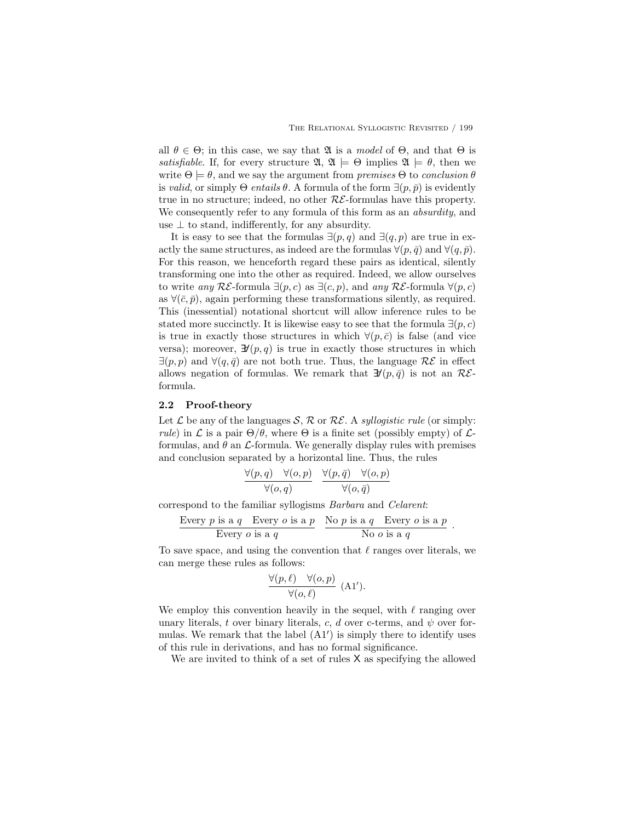all  $\theta \in \Theta$ ; in this case, we say that  $\mathfrak A$  is a *model* of  $\Theta$ , and that  $\Theta$  is *satisfiable*. If, for every structure  $\mathfrak{A}, \mathfrak{A} \models \Theta$  implies  $\mathfrak{A} \models \theta$ , then we write  $\Theta \models \theta$ , and we say the argument from *premises*  $\Theta$  to *conclusion*  $\theta$ is *valid*, or simply  $\Theta$  *entails*  $\theta$ . A formula of the form  $\exists (p, \bar{p})$  is evidently true in no structure; indeed, no other *RE*-formulas have this property. We consequently refer to any formula of this form as an *absurdity*, and use  $\perp$  to stand, indifferently, for any absurdity.

It is easy to see that the formulas  $\exists (p,q)$  and  $\exists (q,p)$  are true in exactly the same structures, as indeed are the formulas  $\forall (p, \bar{q})$  and  $\forall (q, \bar{p})$ . For this reason, we henceforth regard these pairs as identical, silently transforming one into the other as required. Indeed, we allow ourselves to write *any*  $\mathcal{RE}$ -formula  $\exists (p, c)$  as  $\exists (c, p)$ , and *any*  $\mathcal{RE}$ -formula  $\forall (p, c)$ as  $\forall (\bar{c}, \bar{p})$ , again performing these transformations silently, as required. This (inessential) notational shortcut will allow inference rules to be stated more succinctly. It is likewise easy to see that the formula  $\exists (p, c)$ is true in exactly those structures in which  $\forall (p, \bar{c})$  is false (and vice versa); moreover,  $\mathcal{F}(p,q)$  is true in exactly those structures in which  $\exists (p, p)$  and  $\forall (q, \bar{q})$  are not both true. Thus, the language  $\mathcal{RE}$  in effect allows negation of formulas. We remark that  $\exists f(p,\bar{q})$  is not an  $\mathcal{RE}$ formula.

# 2.2 Proof-theory

Let  $\mathcal L$  be any of the languages  $\mathcal S$ ,  $\mathcal R$  or  $\mathcal R\mathcal E$ . A *syllogistic rule* (or simply: *rule*) in  $\mathcal L$  is a pair  $\Theta/\theta$ , where  $\Theta$  is a finite set (possibly empty) of  $\mathcal L$ formulas, and  $\theta$  an  $\mathcal{L}$ -formula. We generally display rules with premises and conclusion separated by a horizontal line. Thus, the rules

$$
\frac{\forall (p,q) \quad \forall (o,p)}{\forall (o,q)} \quad \frac{\forall (p,\bar{q}) \quad \forall (o,p)}{\forall (o,\bar{q})}
$$

correspond to the familiar syllogisms *Barbara* and *Celarent*:

Every *p* is a *q* Every *o* is a *p* Every *o* is a *q* No *p* is a *q* Every *o* is a *p* No *<sup>o</sup>* is a *<sup>q</sup> .*

To save space, and using the convention that  $\ell$  ranges over literals, we can merge these rules as follows:

$$
\frac{\forall (p,\ell) \quad \forall (o,p)}{\forall (o,\ell)} \text{ (A1')}.
$$

We employ this convention heavily in the sequel, with  $\ell$  ranging over unary literals,  $t$  over binary literals,  $c$ ,  $d$  over c-terms, and  $\psi$  over formulas. We remark that the label  $(A1')$  is simply there to identify uses of this rule in derivations, and has no formal significance.

We are invited to think of a set of rules  $X$  as specifying the allowed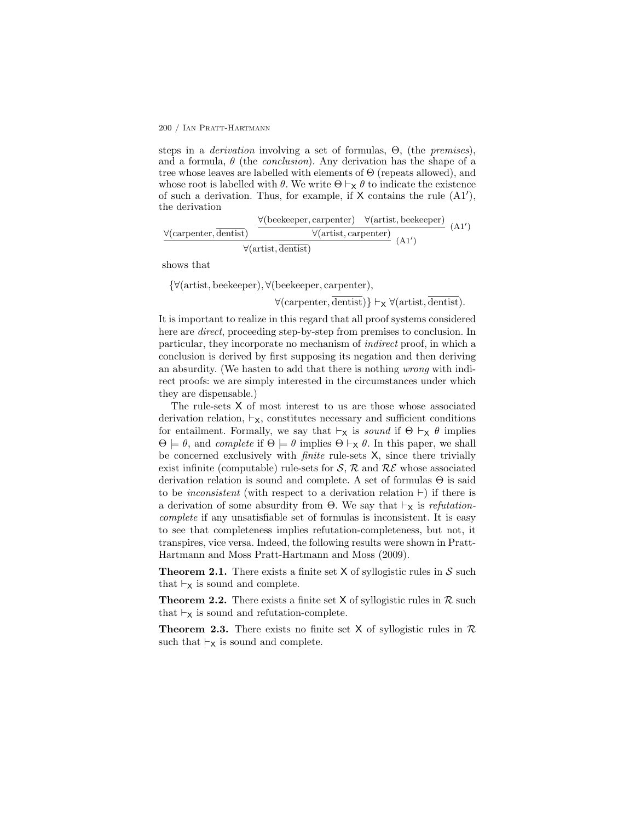steps in a *derivation* involving a set of formulas,  $\Theta$ , (the *premises*), and a formula,  $\theta$  (the *conclusion*). Any derivation has the shape of a tree whose leaves are labelled with elements of  $\Theta$  (repeats allowed), and whose root is labelled with  $\theta$ . We write  $\Theta \vdash_{\mathsf{X}} \theta$  to indicate the existence of such a derivation. Thus, for example, if  $X$  contains the rule  $(A1')$ , the derivation

$$
\frac{\forall(\text{capenter}, \overline{\text{dentist}}) \xrightarrow{\forall(\text{defactor}, \text{capenter})} \forall(\text{artist}, \text{capenter})}{\forall(\text{artist}, \overline{\text{dentist}})} (A1')
$$

shows that

*{*8(artist*,* beekeeper)*,* 8(beekeeper*,* carpenter)*,*

 $\forall$ (carpenter, dentist)}  $\vdash_{\mathsf{X}} \forall$ (artist, dentist).

It is important to realize in this regard that all proof systems considered here are *direct*, proceeding step-by-step from premises to conclusion. In particular, they incorporate no mechanism of *indirect* proof, in which a conclusion is derived by first supposing its negation and then deriving an absurdity. (We hasten to add that there is nothing *wrong* with indirect proofs: we are simply interested in the circumstances under which they are dispensable.)

The rule-sets X of most interest to us are those whose associated derivation relation,  $\vdash_{\mathsf{X}}$ , constitutes necessary and sufficient conditions for entailment. Formally, we say that  $\vdash_{\mathsf{X}}$  is *sound* if  $\Theta \vdash_{\mathsf{X}} \theta$  implies  $\Theta \models \theta$ , and *complete* if  $\Theta \models \theta$  implies  $\Theta \vdash_{\mathsf{X}} \theta$ . In this paper, we shall be concerned exclusively with *finite* rule-sets X, since there trivially exist infinite (computable) rule-sets for  $S$ ,  $R$  and  $R\mathcal{E}$  whose associated derivation relation is sound and complete. A set of formulas  $\Theta$  is said to be *inconsistent* (with respect to a derivation relation  $\vdash$ ) if there is a derivation of some absurdity from  $\Theta$ . We say that  $\vdash_{\mathsf{X}}$  is *refutationcomplete* if any unsatisfiable set of formulas is inconsistent. It is easy to see that completeness implies refutation-completeness, but not, it transpires, vice versa. Indeed, the following results were shown in Pratt-Hartmann and Moss Pratt-Hartmann and Moss (2009).

**Theorem 2.1.** There exists a finite set  $X$  of syllogistic rules in  $S$  such that  $\vdash_{\mathsf{X}}$  is sound and complete.

**Theorem 2.2.** There exists a finite set  $X$  of syllogistic rules in  $\mathcal{R}$  such that  $\vdash_{\mathsf{X}}$  is sound and refutation-complete.

Theorem 2.3. There exists no finite set X of syllogistic rules in *R* such that  $\vdash_{\mathsf{X}}$  is sound and complete.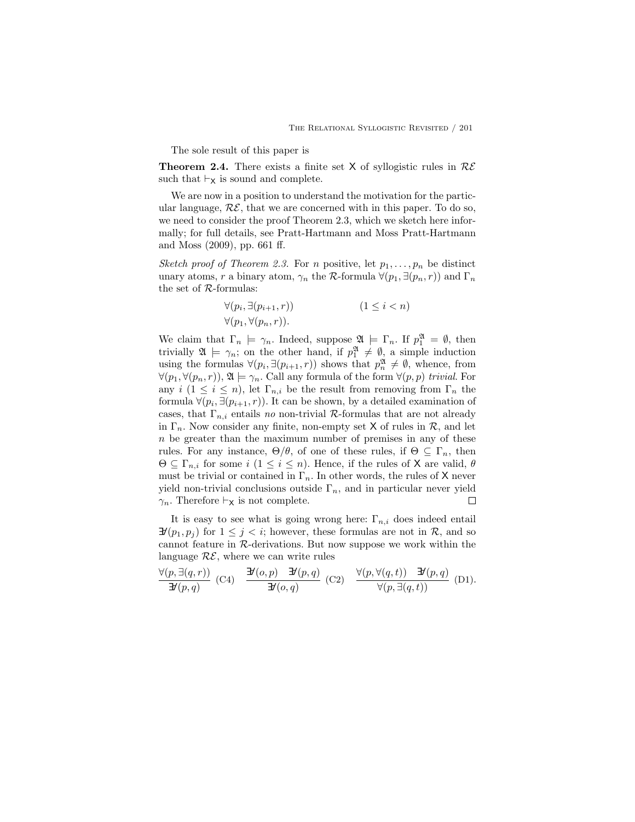The sole result of this paper is

Theorem 2.4. There exists a finite set X of syllogistic rules in *RE* such that  $\vdash_{\mathsf{X}}$  is sound and complete.

We are now in a position to understand the motivation for the particular language,  $\mathcal{RE}$ , that we are concerned with in this paper. To do so, we need to consider the proof Theorem 2.3, which we sketch here informally; for full details, see Pratt-Hartmann and Moss Pratt-Hartmann and Moss  $(2009)$ , pp. 661 ff.

*Sketch proof of Theorem 2.3.* For *n* positive, let  $p_1, \ldots, p_n$  be distinct unary atoms, *r* a binary atom,  $\gamma_n$  the *R*-formula  $\forall (p_1, \exists (p_n, r))$  and  $\Gamma_n$ the set of *R*-formulas:

$$
\forall (p_i, \exists (p_{i+1}, r)) \qquad (1 \le i < n)
$$
\n
$$
\forall (p_1, \forall (p_n, r)).
$$

We claim that  $\Gamma_n \models \gamma_n$ . Indeed, suppose  $\mathfrak{A} \models \Gamma_n$ . If  $p_1^{\mathfrak{A}} = \emptyset$ , then trivially  $\mathfrak{A} \models \gamma_n$ ; on the other hand, if  $p_1^{\mathfrak{A}} \neq \emptyset$ , a simple induction using the formulas  $\forall (p_i, \exists (p_{i+1}, r))$  shows that  $p_n^{\mathfrak{A}} \neq \emptyset$ , whence, from  $\forall (p_1, \forall (p_n, r)), \mathfrak{A} \models \gamma_n$ . Call any formula of the form  $\forall (p, p)$  *trivial*. For any *i*  $(1 \leq i \leq n)$ , let  $\Gamma_{n,i}$  be the result from removing from  $\Gamma_n$  the formula  $\forall (p_i, \exists (p_{i+1}, r))$ . It can be shown, by a detailed examination of cases, that  $\Gamma_{n,i}$  entails *no* non-trivial *R*-formulas that are not already in  $\Gamma_n$ . Now consider any finite, non-empty set X of rules in  $\mathcal{R}$ , and let *n* be greater than the maximum number of premises in any of these rules. For any instance,  $\Theta/\theta$ , of one of these rules, if  $\Theta \subseteq \Gamma_n$ , then  $\Theta \subseteq \Gamma_{n,i}$  for some *i*  $(1 \leq i \leq n)$ . Hence, if the rules of X are valid,  $\theta$ must be trivial or contained in  $\Gamma_n$ . In other words, the rules of X never yield non-trivial conclusions outside  $\Gamma_n$ , and in particular never yield  $\gamma_n$ . Therefore  $\vdash_{\mathsf{X}}$  is not complete.  $\Box$ 

It is easy to see what is going wrong here:  $\Gamma_{n,i}$  does indeed entail  $\mathbf{H}(p_1, p_j)$  for  $1 \leq j \leq i$ ; however, these formulas are not in  $\mathcal{R}$ , and so cannot feature in *R*-derivations. But now suppose we work within the language  $R\mathcal{E}$ , where we can write rules

$$
\frac{\forall (p, \exists (q, r))}{\exists f(p, q)} (C4) \quad \frac{\exists f(o, p) \quad \exists f(p, q)}{\exists f(o, q)} (C2) \quad \frac{\forall (p, \forall (q, t)) \quad \exists f(p, q)}{\forall (p, \exists (q, t))} (D1).
$$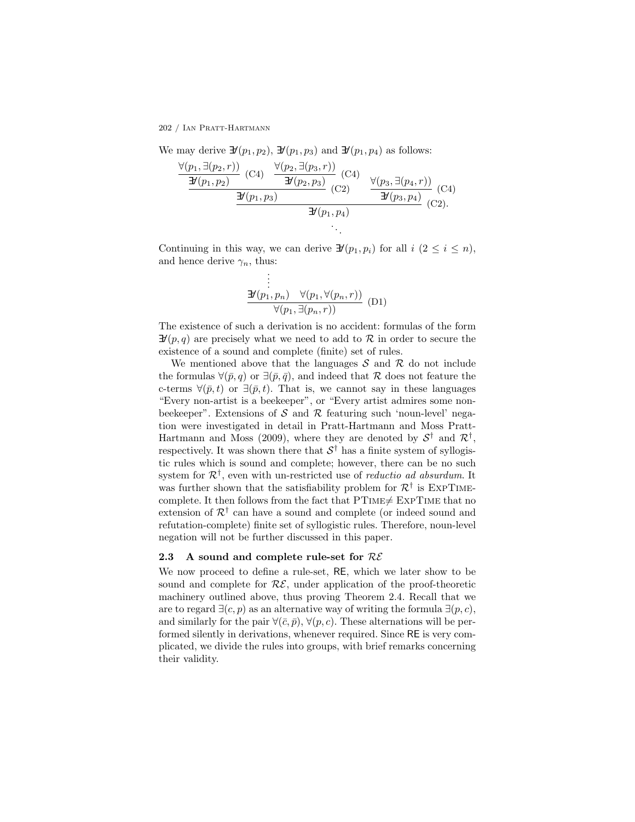We may derive  $\mathbf{\Psi}(p_1, p_2)$ ,  $\mathbf{\Psi}(p_1, p_3)$  and  $\mathbf{\Psi}(p_1, p_4)$  as follows:

.

$$
\frac{\forall (p_1, \exists (p_2, r)) \quad (\text{C4}) \quad \frac{\forall (p_2, \exists (p_3, r))}{\exists p (p_1, p_3)} \quad (\text{C4})}{\text{C2})} \quad \frac{\forall (p_3, \exists (p_4, r))}{\exists p (p_1, p_3)} \quad (\text{C2})}{\text{C3}} \quad \frac{\forall (p_3, \exists (p_4, r)) \quad (\text{C4})}{\text{C5}} \quad (\text{C5}) \quad \frac{\forall (p_3, \exists (p_4, r))}{\text{C6}} \quad (\text{C5}) \quad (\text{C6}) \quad \frac{\forall (p_3, \exists (p_4, r))}{\text{C6}} \quad (\text{C7})}
$$

Continuing in this way, we can derive  $\mathcal{F}(p_1, p_i)$  for all  $i (2 \leq i \leq n)$ , and hence derive  $\gamma_n$ , thus:

$$
\frac{\vdots}{\frac{\exists^{j}(p_1, p_n) \quad \forall (p_1, \forall (p_n, r))}{\forall (p_1, \exists (p_n, r))}} \text{ (D1)}
$$

The existence of such a derivation is no accident: formulas of the form  $\mathcal{F}(p,q)$  are precisely what we need to add to  $\mathcal{R}$  in order to secure the existence of a sound and complete (finite) set of rules.

We mentioned above that the languages *S* and *R* do not include the formulas  $\forall (\bar{p}, q)$  or  $\exists (\bar{p}, \bar{q})$ , and indeed that *R* does not feature the c-terms  $\forall (\bar{p}, t)$  or  $\exists (\bar{p}, t)$ . That is, we cannot say in these languages "Every non-artist is a beekeeper", or "Every artist admires some nonbeekeeper". Extensions of *S* and *R* featuring such 'noun-level' negation were investigated in detail in Pratt-Hartmann and Moss Pratt-Hartmann and Moss (2009), where they are denoted by  $S^{\dagger}$  and  $\mathcal{R}^{\dagger}$ , respectively. It was shown there that  $S^{\dagger}$  has a finite system of syllogistic rules which is sound and complete; however, there can be no such system for *R†*, even with un-restricted use of *reductio ad absurdum*. It was further shown that the satisfiability problem for  $\mathcal{R}^{\dagger}$  is EXPTIMEcomplete. It then follows from the fact that  $PTIME \neq EXPTIME$  that no extension of  $\mathcal{R}^{\dagger}$  can have a sound and complete (or indeed sound and refutation-complete) finite set of syllogistic rules. Therefore, noun-level negation will not be further discussed in this paper.

# 2.3 A sound and complete rule-set for *RE*

We now proceed to define a rule-set, RE, which we later show to be sound and complete for  $\mathcal{RE}$ , under application of the proof-theoretic machinery outlined above, thus proving Theorem 2.4. Recall that we are to regard  $\exists (c, p)$  as an alternative way of writing the formula  $\exists (p, c)$ , and similarly for the pair  $\forall (\bar{c}, \bar{p}), \forall (p, c)$ . These alternations will be performed silently in derivations, whenever required. Since RE is very complicated, we divide the rules into groups, with brief remarks concerning their validity.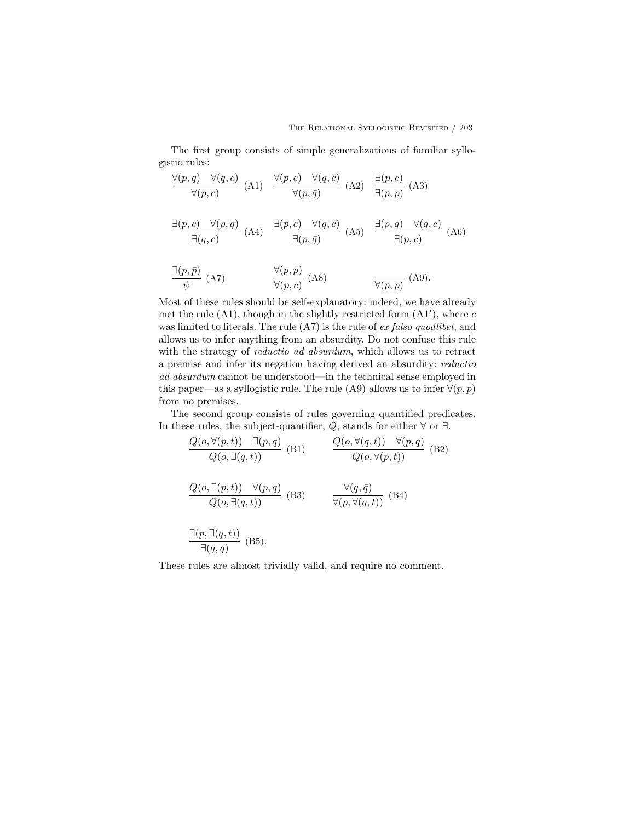The first group consists of simple generalizations of familiar syllogistic rules:

$$
\frac{\forall (p,q) \quad \forall (q,c) \quad (\text{A1}) \quad \frac{\forall (p,c) \quad \forall (q,\bar{c})}{\forall (p,\bar{q})} \quad (\text{A2}) \quad \frac{\exists (p,c)}{\exists (p,p)} \quad (\text{A3})
$$
\n
$$
\frac{\exists (p,c) \quad \forall (p,q) \quad (\text{A4}) \quad \frac{\exists (p,c) \quad \forall (q,\bar{c})}{\exists (p,\bar{q})} \quad (\text{A5}) \quad \frac{\exists (p,q) \quad \forall (q,c)}{\exists (p,c)} \quad (\text{A6})}
$$
\n
$$
\exists (p,\bar{p}) \qquad \qquad \forall (p,\bar{p}) \qquad \qquad \forall (p,\bar{p})
$$

$$
\frac{\exists (p,\bar{p})}{\psi} \text{ (A7)} \qquad \qquad \frac{\forall (p,\bar{p})}{\forall (p,c)} \text{ (A8)} \qquad \qquad \frac{}{\forall (p,p)} \text{ (A9)}.
$$

Most of these rules should be self-explanatory: indeed, we have already met the rule  $(A1)$ , though in the slightly restricted form  $(A1')$ , where  $c$ was limited to literals. The rule (A7) is the rule of *ex falso quodlibet*, and allows us to infer anything from an absurdity. Do not confuse this rule with the strategy of *reductio ad absurdum*, which allows us to retract a premise and infer its negation having derived an absurdity: *reductio ad absurdum* cannot be understood—in the technical sense employed in this paper—as a syllogistic rule. The rule (A9) allows us to infer  $\forall (p, p)$ from no premises.

The second group consists of rules governing quantified predicates. In these rules, the subject-quantifier,  $Q$ , stands for either  $\forall$  or  $\exists$ .

$$
\frac{Q(o, \forall (p, t)) \quad \exists (p, q)}{Q(o, \exists (q, t))} \quad (B1) \qquad \frac{Q(o, \forall (q, t)) \quad \forall (p, q)}{Q(o, \forall (p, t))} \quad (B2)
$$
\n
$$
\frac{Q(o, \exists (p, t)) \quad \forall (p, q)}{Q(o, \exists (q, t))} \quad (B3) \qquad \frac{\forall (q, \bar{q})}{\forall (p, \forall (q, t))} \quad (B4)
$$
\n
$$
\frac{\exists (p, \exists (q, t))}{\exists (q, q)} \quad (B5).
$$

These rules are almost trivially valid, and require no comment.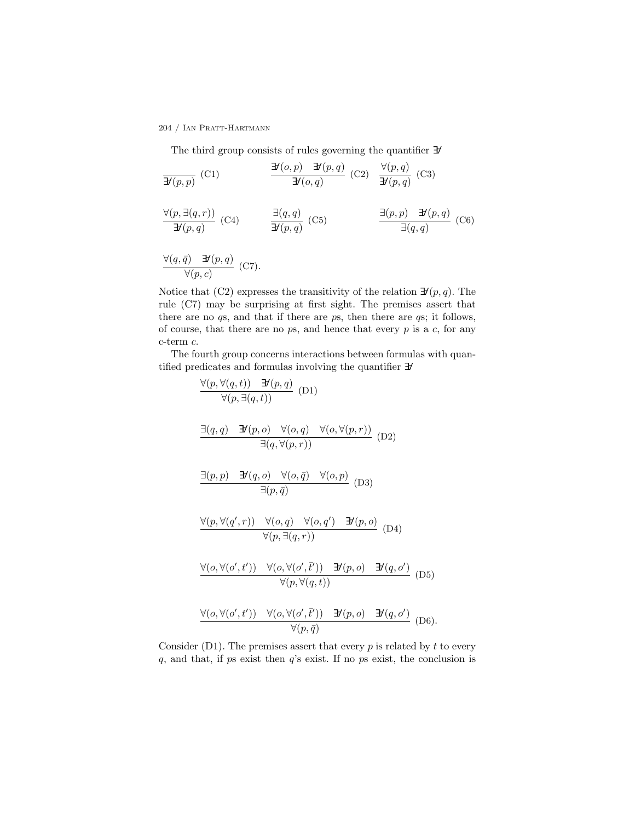The third group consists of rules governing the quantifier  $\mathbb{\mathcal{F}}$ 

$$
\frac{\exists f(p,p)}{\exists f(p,p)} (C1) \qquad \frac{\exists f(p,q)}{\exists f(p,q)} (C2) \quad \frac{\forall (p,q)}{\exists f(p,q)} (C3)
$$
\n
$$
\frac{\forall (p,q)}{\exists (q,p)} (C3)
$$

$$
\frac{\forall (p, \exists (q, r))}{\exists p (p, q)} (C4) \qquad \frac{\exists (q, q)}{\exists p (p, q)} (C5) \qquad \frac{\exists (p, p) \quad \exists p (p, q)}{\exists (q, q)} (C6)
$$

$$
\frac{\forall (q,\bar{q}) \quad \mathbf{\mathcal{F}}(p,q)}{\forall (p,c)} \quad \text{(C7)}.
$$

Notice that (C2) expresses the transitivity of the relation  $\mathcal{F}(p,q)$ . The rule (C7) may be surprising at first sight. The premises assert that there are no *q*s, and that if there are *p*s, then there are *q*s; it follows, of course, that there are no *p*s, and hence that every *p* is a *c*, for any c-term *c*.

The fourth group concerns interactions between formulas with quantified predicates and formulas involving the quantifier  $\mathbb {H}$ 

$$
\frac{\forall (p, \forall (q, t)) \quad \exists f(p, q)}{\forall (p, \exists (q, t))} \quad (D1)
$$
\n
$$
\frac{\exists (q, q) \quad \exists f(p, o) \quad \forall (o, q) \quad \forall (o, \forall (p, r))}{\exists (q, \forall (p, r))} \quad (D2)
$$
\n
$$
\frac{\exists (p, p) \quad \exists f(q, o) \quad \forall (o, \bar{q}) \quad \forall (o, p)}{\exists (p, \bar{q})} \quad (D3)
$$
\n
$$
\frac{\forall (p, \forall (q', r)) \quad \forall (o, q) \quad \forall (o, q') \quad \exists f(p, o)}{\forall (p, \exists (q, r))} \quad (D4)
$$
\n
$$
\frac{\forall (o, \forall (o', t')) \quad \forall (o, \forall (o', \bar{t}')) \quad \exists f(p, o) \quad \exists f(q, o')}{\forall (p, \forall (q, t))} \quad (D5)
$$
\n
$$
\frac{\forall (o, \forall (o', t')) \quad \forall (o, \forall (o', \bar{t}')) \quad \exists f(p, o) \quad \exists f(q, o')}{\forall (p, \bar{q})} \quad (D6).
$$

Consider (D1). The premises assert that every  $p$  is related by  $t$  to every *q*, and that, if *p*s exist then *q*'s exist. If no *p*s exist, the conclusion is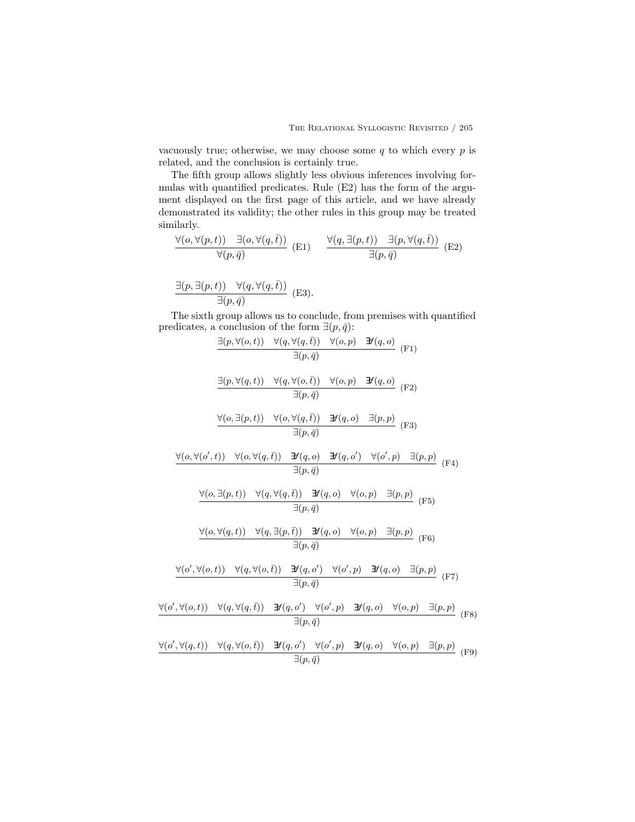vacuously true; otherwise, we may choose some  $q$  to which every  $p$  is related, and the conclusion is certainly true.

The fifth group allows slightly less obvious inferences involving formulas with quantified predicates. Rule (E2) has the form of the argument displayed on the first page of this article, and we have already demonstrated its validity; the other rules in this group may be treated similarly.

$$
\frac{\forall (o, \forall (p, t)) \quad \exists (o, \forall (q, \overline{t})) \quad (\text{E1})}{\forall (p, \overline{q})} \quad (\text{E1}) \qquad \frac{\forall (q, \exists (p, t)) \quad \exists (p, \forall (q, \overline{t}))}{\exists (p, \overline{q})} \quad (\text{E2})
$$
\n
$$
\frac{\exists (p, \exists (p, t)) \quad \forall (q, \forall (q, \overline{t}))}{\exists (p, \overline{q})} \quad (\text{E3}).
$$

The sixth group allows us to conclude, from premises with quantified predicates, a conclusion of the form  $\exists (p, \bar{q})$ :

$$
\frac{\exists (p, \forall (o, t)) \quad \forall (q, \forall (q, \overline{t})) \quad \forall (o, p) \quad \mathbf{\mathcal{H}}(q, o)}{\exists (p, \overline{q})} \quad (\text{F1})
$$
\n
$$
\frac{\exists (p, \forall (q, t)) \quad \forall (q, \forall (o, \overline{t})) \quad \forall (o, p) \quad \mathbf{\mathcal{H}}(q, o)}{\exists (p, \overline{q})} \quad (\text{F2})
$$
\n
$$
\frac{\forall (o, \overline{\exists}(p, t)) \quad \forall (o, \forall (q, \overline{t})) \quad \mathbf{\mathcal{H}}(q, o) \quad \exists (p, p) \quad (\text{F3})}{\exists (p, \overline{q})} \quad (\text{F4})
$$
\n
$$
\frac{\forall (o, \forall (o', t)) \quad \forall (o, \forall (q, \overline{t})) \quad \mathbf{\mathcal{H}}(q, o) \quad \mathbf{\mathcal{H}}(q, o') \quad \forall (o', p) \quad \exists (p, p) \quad (\text{F4})}{\exists (p, \overline{q})} \quad (\text{F5})}
$$
\n
$$
\frac{\forall (o, \overline{\exists}(p, t)) \quad \forall (q, \forall (q, \overline{t})) \quad \mathbf{\mathcal{H}}(q, o) \quad \forall (o, p) \quad \exists (p, p) \quad (\text{F5})}{\exists (p, \overline{q})} \quad (\text{F6})}
$$
\n
$$
\frac{\forall (o, \forall (q, t)) \quad \forall (q, \overline{\exists}(p, \overline{t})) \quad \mathbf{\mathcal{H}}(q, o) \quad \forall (o, p) \quad \exists (p, p) \quad (\text{F6})}{\exists (p, \overline{q})} \quad (\text{F7})}
$$
\n
$$
\frac{\forall (o', \forall (o, t)) \quad \forall (q, \forall (o, \overline{t})) \quad \mathbf{\mathcal{H}}(q, o') \quad \forall (o', p) \quad \mathbf{\mathcal{H}}(q, o) \quad \exists (p, p) \quad (\text{F7})}{\exists (p, \overline{q})} \quad (\text{F8})}
$$
\n
$$
\frac{\forall (o', \forall (o, t)) \quad \forall (q, \forall (q, \overline{t})) \quad \math
$$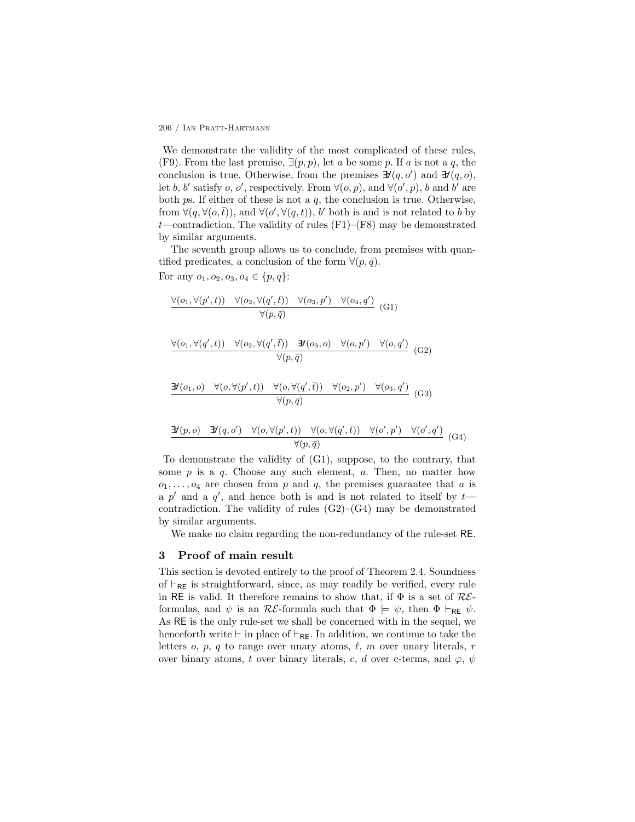We demonstrate the validity of the most complicated of these rules, (F9). From the last premise,  $\exists (p, p)$ , let *a* be some *p*. If *a* is not a *q*, the conclusion is true. Otherwise, from the premises  $\mathcal{F}(q, o')$  and  $\mathcal{F}(q, o)$ , let *b*, *b*<sup> $\prime$ </sup> satisfy *o*, *o*<sup> $\prime$ </sup>, respectively. From  $\forall$ (*o*, *p*), and  $\forall$ (*o*<sup> $\prime$ </sup>, *p*), *b* and *b*<sup> $\prime$ </sup> are both *p*s. If either of these is not a *q*, the conclusion is true. Otherwise, from  $\forall (q, \forall (o, \overline{t}))$ , and  $\forall (o', \forall (q, t))$ , *b'* both is and is not related to *b* by *t*—contradiction. The validity of rules (F1)–(F8) may be demonstrated by similar arguments.

The seventh group allows us to conclude, from premises with quantified predicates, a conclusion of the form  $\forall (p, \bar{q})$ .

For any  $o_1, o_2, o_3, o_4 \in \{p, q\}$ :

$$
\frac{\forall (o_1, \forall (p', t)) \quad \forall (o_2, \forall (q', \overline{t})) \quad \forall (o_3, p') \quad \forall (o_4, q')}{\forall (p, \overline{q})} \tag{G1}
$$

$$
\frac{\forall (o_1, \forall (q', t)) \quad \forall (o_2, \forall (q', \overline{t})) \quad \mathbf{\mathcal{H}}(o_3, o) \quad \forall (o, p') \quad \forall (o, q')}{\forall (p, \overline{q})} \tag{G2}
$$

$$
\frac{\exists f(o_1, o) \quad \forall (o, \forall (p', t)) \quad \forall (o, \forall (q', t)) \quad \forall (o_2, p') \quad \forall (o_3, q')}{\forall (p, \bar{q})}
$$
(G3)

$$
\frac{\exists f(p, o) \quad \exists f(q, o') \quad \forall (o, \forall (p', t)) \quad \forall (o, \forall (q', t)) \quad \forall (o', p') \quad \forall (o', q') \quad (G4)
$$
\n
$$
\frac{\forall (p, \bar{q})}{}
$$

To demonstrate the validity of (G1), suppose, to the contrary, that some *p* is a *q*. Choose any such element, *a*. Then, no matter how  $o_1, \ldots, o_4$  are chosen from *p* and *q*, the premises guarantee that *a* is a  $p'$  and a  $q'$ , and hence both is and is not related to itself by  $t$ contradiction. The validity of rules  $(G2)$ – $(G4)$  may be demonstrated by similar arguments.

We make no claim regarding the non-redundancy of the rule-set RE.

## 3 Proof of main result

This section is devoted entirely to the proof of Theorem 2.4. Soundness of  $\vdash_{\sf RE}$  is straightforward, since, as may readily be verified, every rule in RE is valid. It therefore remains to show that, if  $\Phi$  is a set of  $\mathcal{RE}$ formulas, and  $\psi$  is an *RE*-formula such that  $\Phi \models \psi$ , then  $\Phi \vdash_{\text{RE}} \psi$ . As RE is the only rule-set we shall be concerned with in the sequel, we henceforth write  $\vdash$  in place of  $\vdash_{RE}$ . In addition, we continue to take the letters *o*, *p*, *q* to range over unary atoms,  $\ell$ , *m* over unary literals, *r* over binary atoms, *t* over binary literals, *c*, *d* over c-terms, and  $\varphi$ ,  $\psi$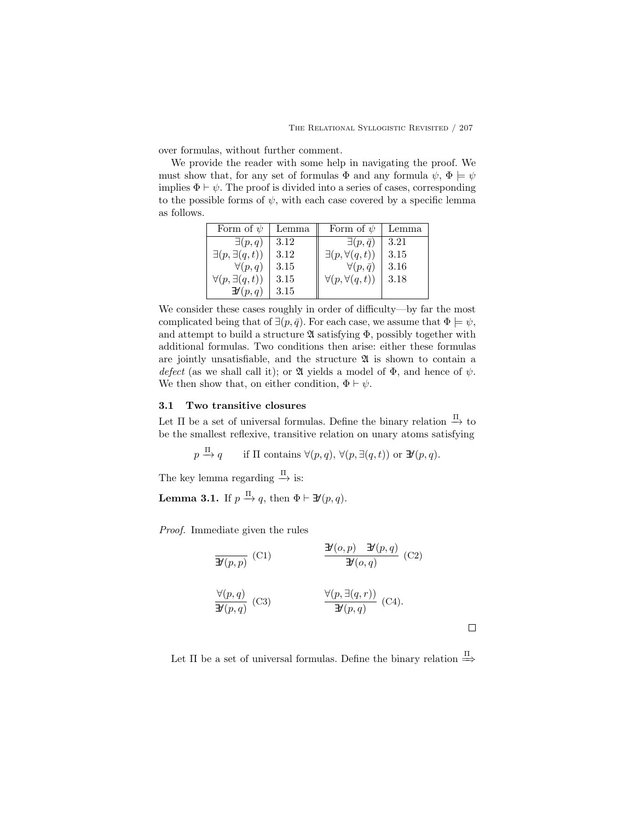over formulas, without further comment.

We provide the reader with some help in navigating the proof. We must show that, for any set of formulas  $\Phi$  and any formula  $\psi$ ,  $\Phi \models \psi$ implies  $\Phi \vdash \psi$ . The proof is divided into a series of cases, corresponding to the possible forms of  $\psi$ , with each case covered by a specific lemma as follows.

| Form of $\psi$                | Lemma | Form of $\psi$                | Lemma |
|-------------------------------|-------|-------------------------------|-------|
| $\exists (p,q)$               | 3.12  | $\exists (p,\bar{q})$         | 3.21  |
| $\exists (p, \exists (q, t))$ | 3.12  | $\exists (p, \forall (q, t))$ | 3.15  |
| $\forall (p,q)$               | 3.15  | $\forall (p,\bar{q})$         | 3.16  |
| $\forall (p, \exists (q, t))$ | 3.15  | $\forall (p, \forall (q, t))$ | 3.18  |
| $\exists f(p,q)$              | 3.15  |                               |       |

We consider these cases roughly in order of difficulty—by far the most complicated being that of  $\exists (p, \bar{q})$ . For each case, we assume that  $\Phi \models \psi$ , and attempt to build a structure  $\mathfrak A$  satisfying  $\Phi$ , possibly together with additional formulas. Two conditions then arise: either these formulas are jointly unsatisfiable, and the structure  $\mathfrak A$  is shown to contain a *defect* (as we shall call it); or  $\mathfrak A$  yields a model of  $\Phi$ , and hence of  $\psi$ . We then show that, on either condition,  $\Phi \vdash \psi$ .

# 3.1 Two transitive closures

Let  $\Pi$  be a set of universal formulas. Define the binary relation  $\frac{\Pi}{\longrightarrow}$  to be the smallest reflexive, transitive relation on unary atoms satisfying

 $p \stackrel{\Pi}{\rightarrow} q$  if  $\Pi$  contains  $\forall (p, q), \forall (p, \exists (q, t))$  or  $\exists t(p, q)$ .

The key lemma regarding  $\stackrel{\Pi}{\rightarrow}$  is:

**Lemma 3.1.** If  $p \stackrel{\Pi}{\rightarrow} q$ , then  $\Phi \vdash \exists f(p,q)$ .

*Proof.* Immediate given the rules

$$
\frac{\exists f(p,p)}{\exists f(p,q)} (C1) \qquad \frac{\exists f(o,p) \quad \exists f(p,q)}{\exists f(o,q)} (C2)
$$
\n
$$
\frac{\forall (p,q)}{\exists f(p,q)} (C3) \qquad \frac{\forall (p,\exists (q,r))}{\exists f(p,q)} (C4).
$$

 $\Box$ 

Let  $\Pi$  be a set of universal formulas. Define the binary relation  $\stackrel{\Pi}{\Longrightarrow}$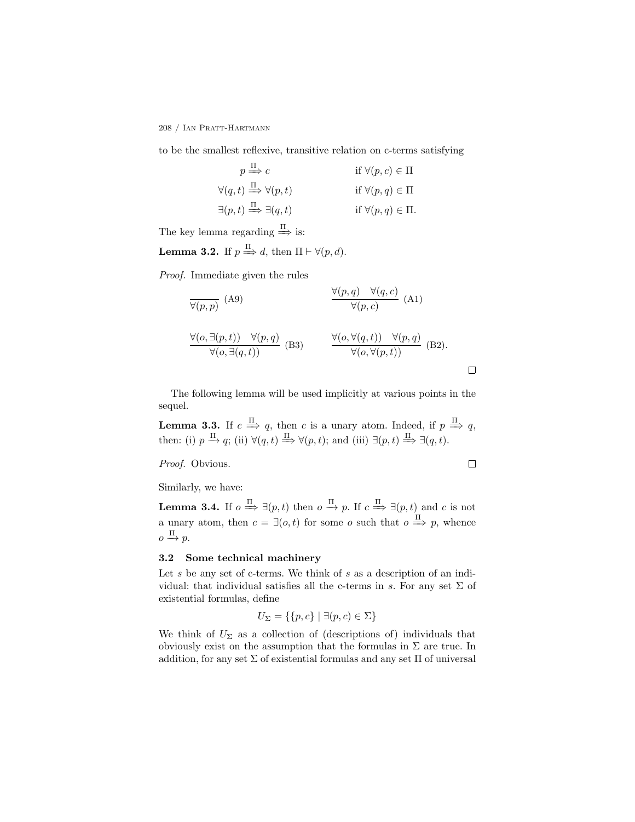to be the smallest reflexive, transitive relation on c-terms satisfying

$$
\begin{aligned}\np &\overset{\Pi}{\Longrightarrow} c &\text{if }\forall (p,c)\in \Pi\\ \n\forall (q,t) &\overset{\Pi}{\Longrightarrow} \forall (p,t) &\text{if }\forall (p,q)\in \Pi\\ \n\exists (p,t) &\overset{\Pi}{\Longrightarrow} \exists (q,t) &\text{if }\forall (p,q)\in \Pi.\n\end{aligned}
$$

The key lemma regarding  $\stackrel{\Pi}{\Longrightarrow}$  is:

**Lemma 3.2.** If  $p \stackrel{\Pi}{\Longrightarrow} d$ , then  $\Pi \vdash \forall (p, d)$ .

*Proof.* Immediate given the rules

$$
\frac{\forall (p,q) \quad \forall (q,c) \quad \text{(A1)}}{\forall (p,p) \quad (\text{A2})}
$$
\n
$$
\frac{\forall (p,q) \quad \forall (q,c) \quad \text{(A2)}}{\forall (p,c) \quad (\text{A3})}
$$
\n
$$
\frac{\forall (o,\exists(p,t)) \quad \forall (p,q) \quad \text{(B3)}}{\forall (o,\forall (q,t)) \quad \forall (p,q) \quad (\text{B2})}.
$$

The following lemma will be used implicitly at various points in the sequel.

**Lemma 3.3.** If  $c \stackrel{\Pi}{\implies} q$ , then *c* is a unary atom. Indeed, if  $p \stackrel{\Pi}{\implies} q$ , then: (i)  $p \stackrel{\Pi}{\longrightarrow} q$ ; (ii)  $\forall (q, t) \stackrel{\Pi}{\Longrightarrow} \forall (p, t)$ ; and (iii)  $\exists (p, t) \stackrel{\Pi}{\Longrightarrow} \exists (q, t)$ .

*Proof.* Obvious.

 $\Box$ 

Similarly, we have:

**Lemma 3.4.** If  $o \stackrel{\Pi}{\implies} \exists (p, t)$  then  $o \stackrel{\Pi}{\to} p$ . If  $c \stackrel{\Pi}{\implies} \exists (p, t)$  and  $c$  is not a unary atom, then  $c = \exists (o, t)$  for some *o* such that  $o \stackrel{\Pi}{\Longrightarrow} p$ , whence  $o \stackrel{\Pi}{\longrightarrow} p$ .

# 3.2 Some technical machinery

Let *s* be any set of c-terms. We think of *s* as a description of an individual: that individual satisfies all the c-terms in  $s$ . For any set  $\Sigma$  of existential formulas, define

$$
U_{\Sigma} = \{ \{p, c\} \mid \exists (p, c) \in \Sigma \}
$$

We think of  $U_{\Sigma}$  as a collection of (descriptions of) individuals that obviously exist on the assumption that the formulas in  $\Sigma$  are true. In addition, for any set  $\Sigma$  of existential formulas and any set  $\Pi$  of universal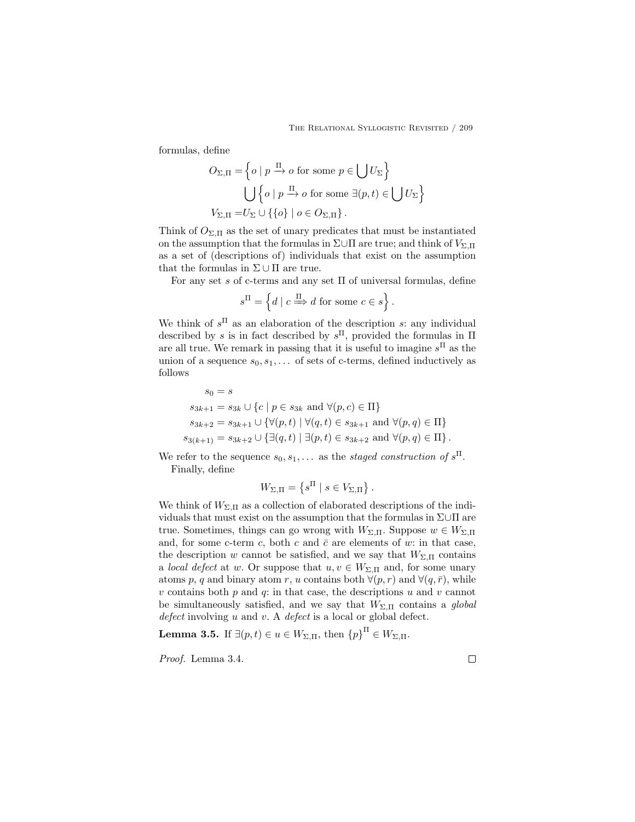formulas, define

$$
O_{\Sigma,\Pi} = \left\{ o \mid p \xrightarrow{\Pi} o \text{ for some } p \in \bigcup U_{\Sigma} \right\}
$$
  

$$
\bigcup \left\{ o \mid p \xrightarrow{\Pi} o \text{ for some } \exists (p,t) \in \bigcup U_{\Sigma} \right\}
$$
  

$$
V_{\Sigma,\Pi} = U_{\Sigma} \cup \left\{ \{ o \} \mid o \in O_{\Sigma,\Pi} \right\}.
$$

Think of  $O_{\Sigma,\Pi}$  as the set of unary predicates that must be instantiated on the assumption that the formulas in  $\Sigma \cup \Pi$  are true; and think of  $V_{\Sigma,\Pi}$ as a set of (descriptions of) individuals that exist on the assumption that the formulas in  $\Sigma \cup \Pi$  are true.

For any set  $s$  of c-terms and any set  $\Pi$  of universal formulas, define

$$
s^{\Pi} = \left\{ d \mid c \stackrel{\Pi}{\Longrightarrow} d \text{ for some } c \in s \right\}.
$$

We think of  $s^{\Pi}$  as an elaboration of the description  $s$ : any individual described by *s* is in fact described by  $s^{\Pi}$ , provided the formulas in  $\Pi$ are all true. We remark in passing that it is useful to imagine  $s^{\Pi}$  as the union of a sequence  $s_0, s_1, \ldots$  of sets of c-terms, defined inductively as follows

$$
s_0 = s
$$
  
\n
$$
s_{3k+1} = s_{3k} \cup \{c \mid p \in s_{3k} \text{ and } \forall (p, c) \in \Pi\}
$$
  
\n
$$
s_{3k+2} = s_{3k+1} \cup \{ \forall (p, t) \mid \forall (q, t) \in s_{3k+1} \text{ and } \forall (p, q) \in \Pi\}
$$
  
\n
$$
s_{3(k+1)} = s_{3k+2} \cup \{ \exists (q, t) \mid \exists (p, t) \in s_{3k+2} \text{ and } \forall (p, q) \in \Pi\}
$$

We refer to the sequence  $s_0, s_1, \ldots$  as the *staged construction of*  $s^{\Pi}$ . Finally, define

$$
W_{\Sigma,\Pi} = \left\{ s^{\Pi} \mid s \in V_{\Sigma,\Pi} \right\}.
$$

We think of  $W_{\Sigma,\Pi}$  as a collection of elaborated descriptions of the individuals that must exist on the assumption that the formulas in  $\Sigma \cup \Pi$  are true. Sometimes, things can go wrong with  $W_{\Sigma,\Pi}$ . Suppose  $w \in W_{\Sigma,\Pi}$ and, for some c-term  $c$ , both  $c$  and  $\bar{c}$  are elements of  $w$ : in that case, the description *w* cannot be satisfied, and we say that  $W_{\Sigma,\Pi}$  contains a *local defect* at *w*. Or suppose that  $u, v \in W_{\Sigma,\Pi}$  and, for some unary atoms p, q and binary atom r, u contains both  $\forall (p, r)$  and  $\forall (q, \overline{r})$ , while *v* contains both *p* and *q*: in that case, the descriptions *u* and *v* cannot be simultaneously satisfied, and we say that  $W_{\Sigma,\Pi}$  contains a *global defect* involving *u* and *v*. A *defect* is a local or global defect.

**Lemma 3.5.** If  $\exists (p, t) \in u \in W_{\Sigma, \Pi}$ , then  ${p}^{\Pi} \in W_{\Sigma, \Pi}$ .

*Proof.* Lemma 3.4.

 $\Box$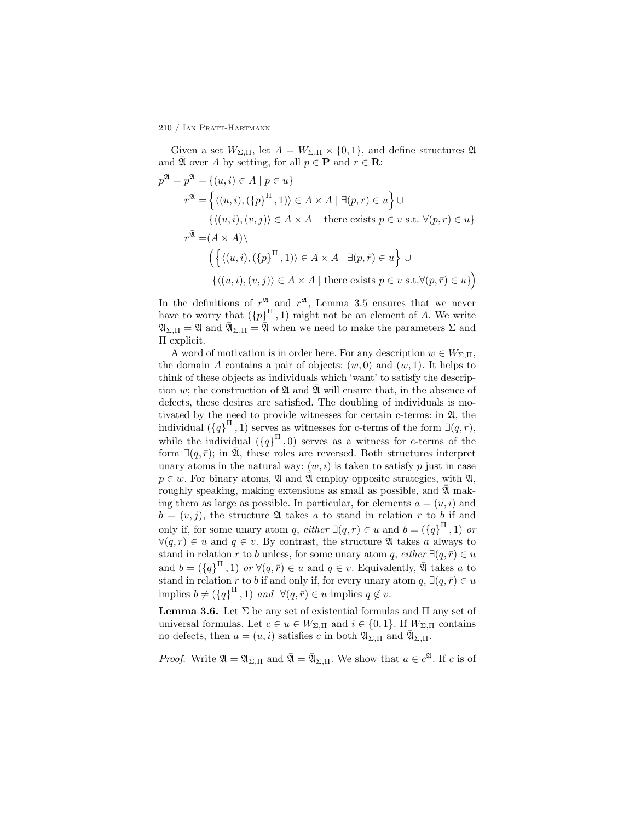Given a set  $W_{\Sigma,\Pi}$ , let  $A = W_{\Sigma,\Pi} \times \{0,1\}$ , and define structures  $\mathfrak A$ and  $\overline{\mathfrak{A}}$  over *A* by setting, for all  $p \in \mathbf{P}$  and  $r \in \mathbf{R}$ :

$$
p^{\mathfrak{A}} = p^{\bar{\mathfrak{A}}} = \{(u, i) \in A \mid p \in u\}
$$
  
\n
$$
r^{\mathfrak{A}} = \left\{ \langle (u, i), (\{p\}^{\Pi}, 1) \rangle \in A \times A \mid \exists (p, r) \in u \right\} \cup
$$
  
\n
$$
\{\langle (u, i), (v, j) \rangle \in A \times A \mid \text{ there exists } p \in v \text{ s.t. } \forall (p, r) \in u\}
$$
  
\n
$$
r^{\bar{\mathfrak{A}}} = (A \times A) \setminus
$$
  
\n
$$
\left\{ \langle (u, i), (\{p\}^{\Pi}, 1) \rangle \in A \times A \mid \exists (p, \bar{r}) \in u \right\} \cup
$$
  
\n
$$
\{\langle (u, i), (v, j) \rangle \in A \times A \mid \text{there exists } p \in v \text{ s.t. } \forall (p, \bar{r}) \in u\} \right\}
$$

In the definitions of  $r^{\mathfrak{A}}$  and  $r^{\bar{\mathfrak{A}}}$ , Lemma 3.5 ensures that we never have to worry that  $({p}_{\perp}^{\Pi}, 1)$  might not be an element of *A*. We write  $\mathfrak{A}_{\Sigma,\Pi} = \mathfrak{A}$  and  $\overline{\mathfrak{A}}_{\Sigma,\Pi} = \overline{\mathfrak{A}}$  when we need to make the parameters  $\Sigma$  and  $\Pi$  explicit.

A word of motivation is in order here. For any description  $w \in W_{\Sigma,\Pi}$ , the domain *A* contains a pair of objects:  $(w, 0)$  and  $(w, 1)$ . It helps to think of these objects as individuals which 'want' to satisfy the description *w*; the construction of  $\mathfrak A$  and  $\mathfrak A$  will ensure that, in the absence of defects, these desires are satisfied. The doubling of individuals is motivated by the need to provide witnesses for certain c-terms: in A, the individual  $({q}^{\Pi}, 1)$  serves as witnesses for c-terms of the form  $\exists (q, r)$ , while the individual  $({q})^{\Pi}$ , 0) serves as a witness for c-terms of the form  $\exists (q,\bar{r})$ ; in  $\overline{\mathfrak{A}}$ , these roles are reversed. Both structures interpret unary atoms in the natural way:  $(w, i)$  is taken to satisfy  $p$  just in case  $p \in w$ . For binary atoms,  $\mathfrak A$  and  $\overline{\mathfrak A}$  employ opposite strategies, with  $\mathfrak A$ , roughly speaking, making extensions as small as possible, and  $\overline{\mathfrak{A}}$  making them as large as possible. In particular, for elements  $a = (u, i)$  and  $b = (v, j)$ , the structure  $\mathfrak A$  takes *a* to stand in relation *r* to *b* if and only if, for some unary atom *q*, *either*  $\exists (q, r) \in u$  and  $b = (\lbrace q \rbrace^{\Pi}, 1)$  *or*  $\forall (q, r) \in u$  and  $q \in v$ . By contrast, the structure  $\overline{X}$  takes a always to stand in relation *r* to *b* unless, for some unary atom *q*, *either*  $\exists (q, \bar{r}) \in u$ and  $b = (\lbrace q \rbrace^{\Pi}, 1)$  *or*  $\forall (q, \bar{r}) \in u$  and  $q \in v$ . Equivalently,  $\overline{A}$  takes *a* to stand in relation *r* to *b* if and only if, for every unary atom  $q$ ,  $\exists (q, \overline{r}) \in u$ implies  $b \neq (\lbrace q \rbrace^{\Pi}, 1)$  *and*  $\forall (q, \bar{r}) \in u$  implies  $q \notin v$ .

**Lemma 3.6.** Let  $\Sigma$  be any set of existential formulas and  $\Pi$  any set of universal formulas. Let  $c \in u \in W_{\Sigma,\Pi}$  and  $i \in \{0,1\}$ . If  $W_{\Sigma,\Pi}$  contains no defects, then  $a = (u, i)$  satisfies c in both  $\mathfrak{A}_{\Sigma,\Pi}$  and  $\overline{\mathfrak{A}}_{\Sigma,\Pi}$ .

*Proof.* Write  $\mathfrak{A} = \mathfrak{A}_{\Sigma,\Pi}$  and  $\overline{\mathfrak{A}} = \overline{\mathfrak{A}}_{\Sigma,\Pi}$ . We show that  $a \in c^{\mathfrak{A}}$ . If *c* is of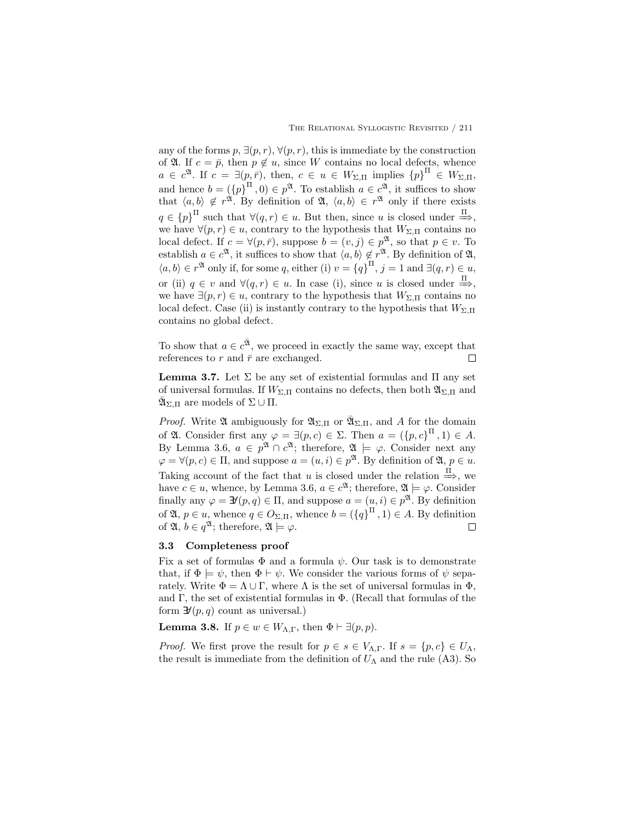any of the forms  $p, \exists (p, r), \forall (p, r)$ , this is immediate by the construction of  $\mathfrak{A}$ . If  $c = \bar{p}$ , then  $p \notin u$ , since *W* contains no local defects, whence  $a \in c^{\mathfrak{A}}$ . If  $c = \exists (p, \bar{r})$ , then,  $c \in u \in W_{\Sigma,\Pi}$  implies  ${p}^{\Pi} \in W_{\Sigma,\Pi}$ , and hence  $b = (\{p\}^{\Pi}, 0) \in p^{\mathfrak{A}}$ . To establish  $a \in c^{\mathfrak{A}}$ , it suffices to show that  $\langle a, b \rangle \notin r^{\mathfrak{A}}$ . By definition of  $\mathfrak{A}, \langle a, b \rangle \in r^{\mathfrak{A}}$  only if there exists  $q \in {p}$ <sup>T</sup> such that  $\forall (q, r) \in u$ . But then, since *u* is closed under  $\Longrightarrow$ , we have  $\forall (p, r) \in u$ , contrary to the hypothesis that  $W_{\Sigma,\Pi}$  contains no local defect. If  $c = \forall (p, \bar{r})$ , suppose  $b = (v, j) \in p^{\mathfrak{A}}$ , so that  $p \in v$ . To establish  $a \in c^{\mathfrak{A}}$ , it suffices to show that  $\langle a, b \rangle \notin r^{\mathfrak{A}}$ . By definition of  $\mathfrak{A}$ ,  $\langle a, b \rangle \in r^{\mathfrak{A}}$  only if, for some *q*, either (i)  $v = \{q\}^{\Pi}, j = 1$  and  $\exists (q, r) \in u$ , or (ii)  $q \in v$  and  $\forall (q, r) \in u$ . In case (i), since *u* is closed under  $\Rightarrow$ , we have  $\exists (p, r) \in u$ , contrary to the hypothesis that  $W_{\Sigma,\Pi}$  contains no local defect. Case (ii) is instantly contrary to the hypothesis that  $W_{\Sigma,\Pi}$ contains no global defect.

To show that  $a \in c^{\bar{\mathfrak{A}}}$ , we proceed in exactly the same way, except that references to  $r$  and  $\bar{r}$  are exchanged. П

**Lemma 3.7.** Let  $\Sigma$  be any set of existential formulas and  $\Pi$  any set of universal formulas. If  $W_{\Sigma,\Pi}$  contains no defects, then both  $\mathfrak{A}_{\Sigma,\Pi}$  and  $\overline{\mathfrak{A}}_{\Sigma,\Pi}$  are models of  $\Sigma \cup \Pi$ .

*Proof.* Write  $\mathfrak{A}$  ambiguously for  $\mathfrak{A}_{\Sigma,\Pi}$  or  $\overline{\mathfrak{A}}_{\Sigma,\Pi}$ , and A for the domain of  $\mathfrak{A}$ . Consider first any  $\varphi = \exists (p, c) \in \Sigma$ . Then  $a = (\lbrace p, c \rbrace^{\Pi}, 1) \in A$ . By Lemma 3.6,  $a \in p^{\mathfrak{A}} \cap c^{\mathfrak{A}}$ ; therefore,  $\mathfrak{A} \models \varphi$ . Consider next any  $\varphi = \forall (p, c) \in \Pi$ , and suppose  $a = (u, i) \in p^{\mathfrak{A}}$ . By definition of  $\mathfrak{A}, p \in u$ . Taking account of the fact that *u* is closed under the relation  $\Rightarrow$ , we have  $c \in u$ , whence, by Lemma 3.6,  $a \in c^{\mathfrak{A}}$ ; therefore,  $\mathfrak{A} \models \varphi$ . Consider finally any  $\varphi = \mathbf{\mathcal{F}}(p,q) \in \Pi$ , and suppose  $a = (u, i) \in p^{\mathfrak{A}}$ . By definition of  $\mathfrak{A}, p \in u$ , whence  $q \in O_{\Sigma,\Pi}$ , whence  $b = (\{q\}^{\Pi}, 1) \in A$ . By definition of  $\mathfrak{A}, b \in q^{\mathfrak{A}}$ ; therefore,  $\mathfrak{A} \models \varphi$ .

# 3.3 Completeness proof

Fix a set of formulas  $\Phi$  and a formula  $\psi$ . Our task is to demonstrate that, if  $\Phi \models \psi$ , then  $\Phi \vdash \psi$ . We consider the various forms of  $\psi$  separately. Write  $\Phi = \Lambda \cup \Gamma$ , where  $\Lambda$  is the set of universal formulas in  $\Phi$ , and  $\Gamma$ , the set of existential formulas in  $\Phi$ . (Recall that formulas of the form  $\exists p(p,q)$  count as universal.)

**Lemma 3.8.** If  $p \in w \in W_{\Lambda,\Gamma}$ , then  $\Phi \vdash \exists (p, p)$ .

*Proof.* We first prove the result for  $p \in s \in V_{\Lambda,\Gamma}$ . If  $s = \{p, c\} \in U_{\Lambda}$ , the result is immediate from the definition of  $U_{\Lambda}$  and the rule (A3). So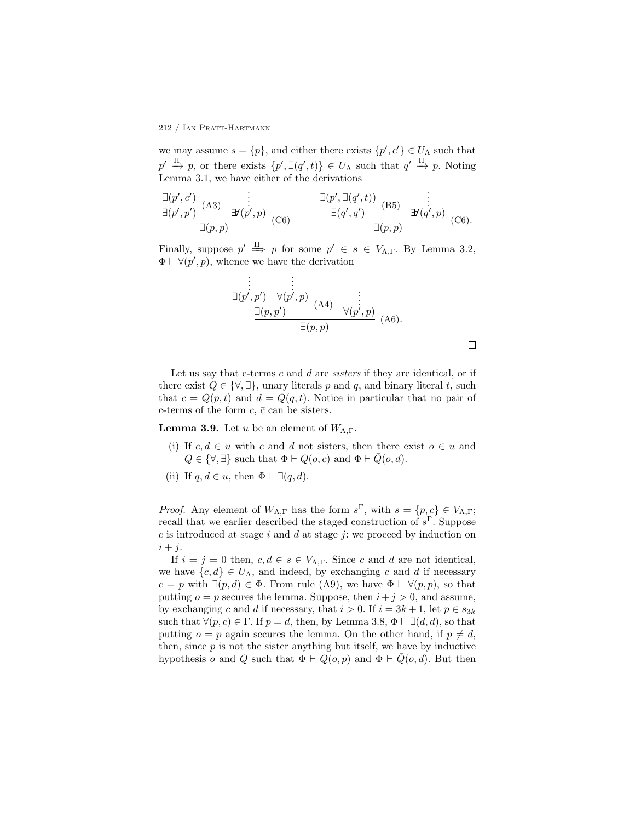we may assume  $s = \{p\}$ , and either there exists  $\{p', c'\} \in U_\Lambda$  such that  $p' \stackrel{\Pi}{\rightarrow} p$ , or there exists  $\{p', \exists (q', t)\} \in U_\Lambda$  such that  $q' \stackrel{\Pi}{\rightarrow} p$ . Noting Lemma 3.1, we have either of the derivations

$$
\frac{\exists (p',c')\quad\exists (p',p')\quad(A3)\quad\mathbf{y}(p',p)}{\exists (p,p)\quad\mathbf{y}(p,p)}\quad(C6)\qquad\qquad\frac{\exists (p',\exists (q',t))\quad\mathbf{B5)}\quad\mathbf{y}(q',p)}{\exists (p,p)\quad\mathbf{y}(q',p)}\quad(C6).
$$

Finally, suppose  $p' \stackrel{\Pi}{\implies} p$  for some  $p' \in s \in V_{\Lambda,\Gamma}$ . By Lemma 3.2,  $\Phi \vdash \forall (p', p)$ , whence we have the derivation

$$
\frac{\exists (p', p') \quad \forall (p', p)}{\exists (p, p') \quad \mathcal{A}(A)} \quad \vdots \n\frac{\exists (p, p') \quad (\mathbf{A4}) \quad \forall (p', p)}{\exists (p, p)} \quad (\mathbf{A6}).
$$

 $\Box$ 

Let us say that c-terms *c* and *d* are *sisters* if they are identical, or if there exist  $Q \in \{\forall, \exists\}$ , unary literals p and q, and binary literal t, such that  $c = Q(p, t)$  and  $d = Q(q, t)$ . Notice in particular that no pair of c-terms of the form  $c, \bar{c}$  can be sisters.

**Lemma 3.9.** Let *u* be an element of  $W_{\Lambda,\Gamma}$ .

- (i) If  $c, d \in u$  with c and d not sisters, then there exist  $o \in u$  and  $Q \in {\forall, \exists}$  such that  $\Phi \vdash Q(o, c)$  and  $\Phi \vdash \overline{Q}(o, d)$ .
- (ii) If  $q, d \in u$ , then  $\Phi \vdash \exists (q, d)$ .

*Proof.* Any element of  $W_{\Lambda,\Gamma}$  has the form  $s^{\Gamma}$ , with  $s = \{p, c\} \in V_{\Lambda,\Gamma}$ ; recall that we earlier described the staged construction of  $s^{\Gamma}$ . Suppose *c* is introduced at stage *i* and *d* at stage *j*: we proceed by induction on  $i + j$ .

If  $i = j = 0$  then,  $c, d \in s \in V_{\Lambda,\Gamma}$ . Since *c* and *d* are not identical, we have  ${c, d} \in U_\Lambda$ , and indeed, by exchanging *c* and *d* if necessary  $c = p$  with  $\exists (p, d) \in \Phi$ . From rule (A9), we have  $\Phi \vdash \forall (p, p)$ , so that putting  $o = p$  secures the lemma. Suppose, then  $i + j > 0$ , and assume, by exchanging *c* and *d* if necessary, that  $i > 0$ . If  $i = 3k + 1$ , let  $p \in s_{3k}$ such that  $\forall (p, c) \in \Gamma$ . If  $p = d$ , then, by Lemma 3.8,  $\Phi \vdash \exists (d, d)$ , so that putting  $o = p$  again secures the lemma. On the other hand, if  $p \neq d$ , then, since  $p$  is not the sister anything but itself, we have by inductive hypothesis *o* and *Q* such that  $\Phi \vdash Q(o, p)$  and  $\Phi \vdash \overline{Q}(o, d)$ . But then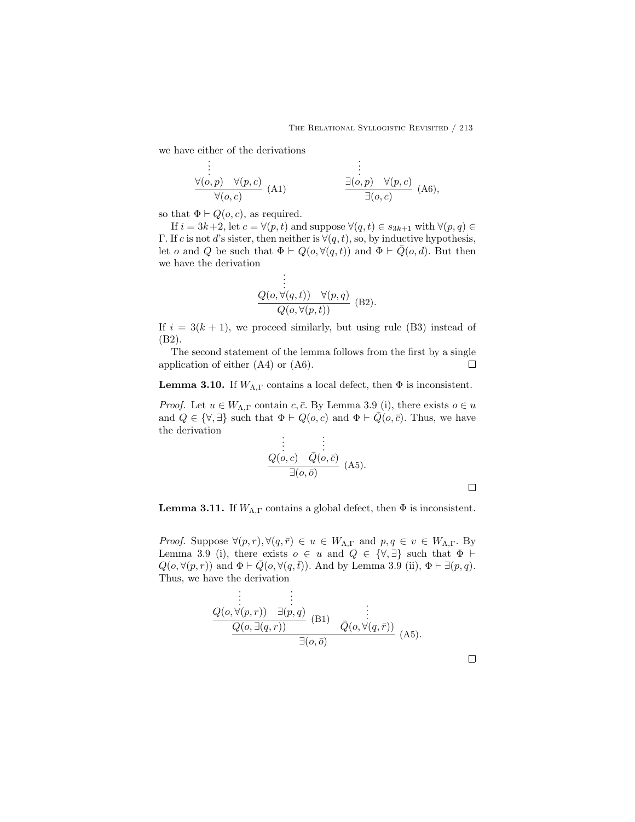we have either of the derivations

$$
\begin{array}{c}\n\vdots \\
\frac{\forall (o,p) \quad \forall (p,c)}{\forall (o,c)} \\
\frac{\exists (o,p) \quad \forall (p,c)}{\exists (o,c)} \\
\text{(A6)},\n\end{array}
$$

so that  $\Phi \vdash Q(o, c)$ , as required.

If  $i = 3k+2$ , let  $c = \forall (p, t)$  and suppose  $\forall (q, t) \in s_{3k+1}$  with  $\forall (p, q) \in$  $\Gamma$ . If *c* is not *d*'s sister, then neither is  $\forall (q, t)$ , so, by inductive hypothesis, let *o* and *Q* be such that  $\Phi \vdash Q(o, \forall (q, t))$  and  $\Phi \vdash \overline{Q}(o, d)$ . But then we have the derivation

$$
\frac{\begin{array}{c}\vdots\\Q(o,\forall(q,t))\quad\forall(p,q)\\Q(o,\forall(p,t))\end{array}}(B2).
$$

If  $i = 3(k + 1)$ , we proceed similarly, but using rule (B3) instead of (B2).

The second statement of the lemma follows from the first by a single application of either (A4) or (A6).  $\Box$ 

**Lemma 3.10.** If  $W_{\Lambda,\Gamma}$  contains a local defect, then  $\Phi$  is inconsistent.

*Proof.* Let  $u \in W_{\Lambda,\Gamma}$  contain  $c, \bar{c}$ . By Lemma 3.9 (i), there exists  $o \in u$ and  $Q \in {\forall, \exists}$  such that  $\Phi \vdash Q(o, c)$  and  $\Phi \vdash \overline{Q}(o, \overline{c})$ . Thus, we have the derivation . .

$$
\begin{array}{c}\n\vdots & \vdots \\
Q(o, c) & \bar{Q}(o, \bar{c}) \\
\hline\n\exists (o, \bar{o})\n\end{array} (A5).
$$

 $\Box$ 

**Lemma 3.11.** If  $W_{\Lambda,\Gamma}$  contains a global defect, then  $\Phi$  is inconsistent.

*Proof.* Suppose  $\forall (p, r), \forall (q, \overline{r}) \in u \in W_{\Lambda, \Gamma}$  and  $p, q \in v \in W_{\Lambda, \Gamma}$ . By Lemma 3.9 (i), there exists  $o \in u$  and  $Q \in {\forall, \exists}$  such that  $\Phi \vdash$  $Q(o, \forall (p, r))$  and  $\Phi \vdash \overline{Q}(o, \forall (q, \overline{t}))$ . And by Lemma 3.9 (ii),  $\Phi \vdash \exists (p, q)$ . Thus, we have the derivation

$$
\frac{\begin{array}{c}\n\vdots & \vdots \\
Q(o, \forall (p,r)) & \exists (p,q) \\
\hline\nQ(o, \exists (q,r)) & \bar{Q}(o, \forall (q,\bar{r}))\n\end{array}}{(B1)} \quad \frac{\vdots}{\bar{Q}(o, \forall (q,\bar{r}))} (A5).
$$

 $\Box$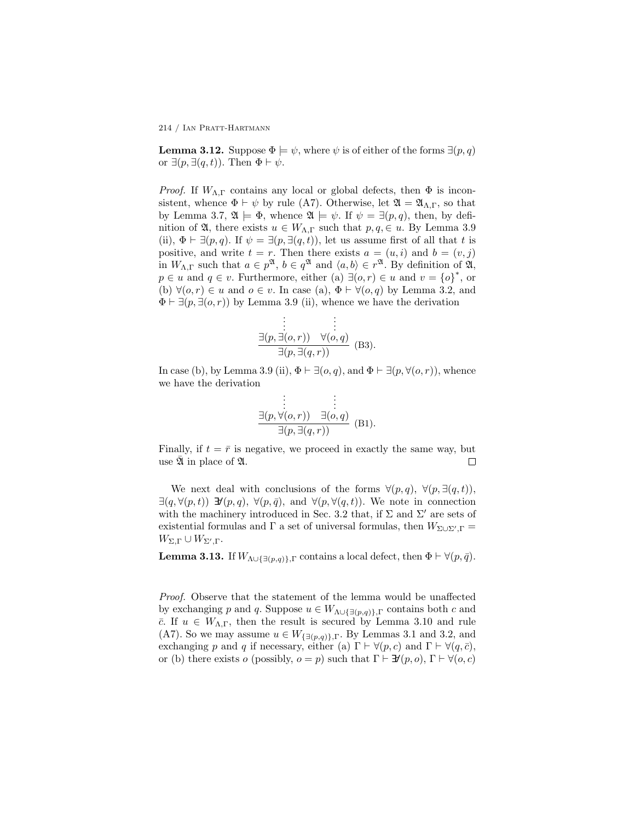**Lemma 3.12.** Suppose  $\Phi \models \psi$ , where  $\psi$  is of either of the forms  $\exists (p, q)$ or  $\exists (p, \exists (q, t))$ . Then  $\Phi \vdash \psi$ .

*Proof.* If  $W_{\Lambda,\Gamma}$  contains any local or global defects, then  $\Phi$  is inconsistent, whence  $\Phi \vdash \psi$  by rule (A7). Otherwise, let  $\mathfrak{A} = \mathfrak{A}_{\Lambda,\Gamma}$ , so that by Lemma 3.7,  $\mathfrak{A} \models \Phi$ , whence  $\mathfrak{A} \models \psi$ . If  $\psi = \exists (p, q)$ , then, by definition of  $\mathfrak{A}$ , there exists  $u \in W_{\Lambda,\Gamma}$  such that  $p,q, \in u$ . By Lemma 3.9 (ii),  $\Phi \vdash \exists (p, q)$ . If  $\psi = \exists (p, \exists (q, t))$ , let us assume first of all that *t* is positive, and write  $t = r$ . Then there exists  $a = (u, i)$  and  $b = (v, j)$ in  $W_{\Lambda,\Gamma}$  such that  $a \in p^{\mathfrak{A}}, b \in q^{\mathfrak{A}}$  and  $\langle a, b \rangle \in r^{\mathfrak{A}}$ . By definition of  $\mathfrak{A},$  $p \in u$  and  $q \in v$ . Furthermore, either (a)  $\exists (o, r) \in u$  and  $v = \{o\}^*$ , or (b)  $\forall (o, r) \in u$  and  $o \in v$ . In case (a),  $\Phi \vdash \forall (o, q)$  by Lemma 3.2, and  $\Phi \vdash \exists (p, \exists (o, r))$  by Lemma 3.9 (ii), whence we have the derivation

$$
\vdots \t\t\vdots \t\t\vdots\n\exists (p, \exists (o,r)) \quad \forall (o,q) \n\exists (p, \exists (q,r))
$$
 (B3)

In case (b), by Lemma 3.9 (ii),  $\Phi \vdash \exists (o, q)$ , and  $\Phi \vdash \exists (p, \forall (o, r))$ , whence we have the derivation

$$
\vdots \t\t\vdots \t\t\vdots\n\frac{\exists (p, \forall (o, r)) \quad \exists (o, q)}{\exists (p, \exists (q, r))} \text{ (B1)}.
$$

Finally, if  $t = \bar{r}$  is negative, we proceed in exactly the same way, but use  $\overline{\mathfrak{A}}$  in place of  $\mathfrak{A}$ .  $\Box$ 

We next deal with conclusions of the forms  $\forall (p,q), \forall (p,\exists (q,t)),$  $\exists (q, \forall (p, t)) \; \; \mathbf{\Psi}(p, q), \; \forall (p, \bar{q}), \text{ and } \; \forall (p, \forall (q, t)).$  We note in connection with the machinery introduced in Sec. 3.2 that, if  $\Sigma$  and  $\Sigma'$  are sets of existential formulas and  $\Gamma$  a set of universal formulas, then  $W_{\Sigma\cup\Sigma',\Gamma}$  $W_{\Sigma,\Gamma} \cup W_{\Sigma',\Gamma}.$ 

**Lemma 3.13.** If  $W_{\Lambda \cup \{\exists(p,q)\}\}\Gamma}$  contains a local defect, then  $\Phi \vdash \forall (p,\bar{q})$ .

*Proof.* Observe that the statement of the lemma would be unaffected by exchanging *p* and *q*. Suppose  $u \in W_{\Lambda \cup \{\exists(p,q)\}\}\Gamma}$  contains both *c* and  $\bar{c}$ . If  $u \in W_{\Lambda,\Gamma}$ , then the result is secured by Lemma 3.10 and rule (A7). So we may assume  $u \in W_{\{\exists (p,q)\},\Gamma}$ . By Lemmas 3.1 and 3.2, and exchanging p and q if necessary, either (a)  $\Gamma \vdash \forall (p, c)$  and  $\Gamma \vdash \forall (q, \bar{c})$ , or (b) there exists *o* (possibly,  $o = p$ ) such that  $\Gamma \vdash \exists f(p, o), \Gamma \vdash \forall (o, c)$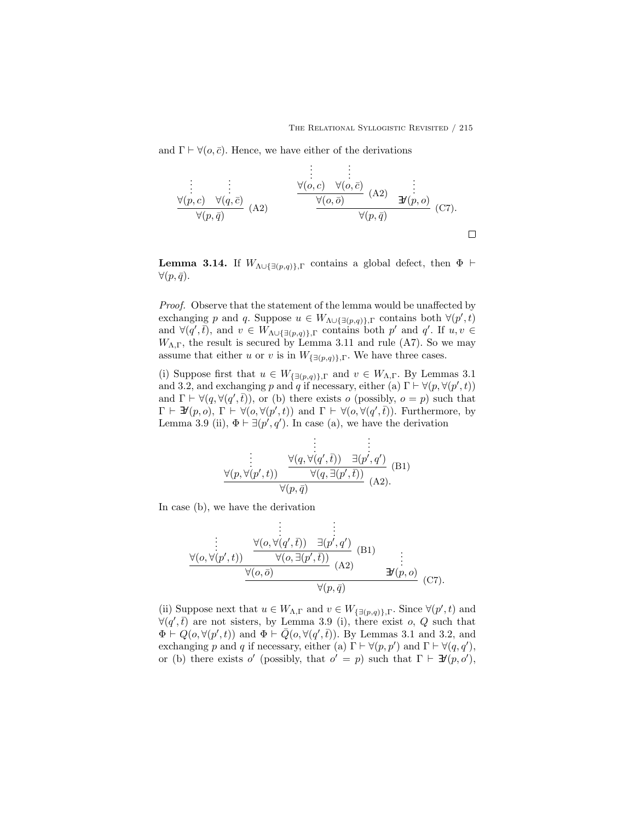and  $\Gamma \vdash \forall (o, \overline{c})$ . Hence, we have either of the derivations

$$
\begin{array}{cccc}\n\vdots & \vdots & \vdots & \vdots \\
\frac{\forall (p,c) \quad \forall (q,\bar{c})} \quad (\mathbf{A2}) & \frac{\forall (o,c) \quad \forall (o,\bar{c})} \quad (\mathbf{A2}) & \frac{\exists}{\forall (p,o)} \\
\frac{\forall (p,\bar{q})} \quad & \frac{\forall (o,\bar{o})}{\forall (p,\bar{q})} & \frac{\exists f(p,o)}{\forall (p,\bar{q})} & \square\n\end{array}
$$

**Lemma 3.14.** If  $W_{\Lambda \cup \{\exists(p,q)\}\}\Gamma}$  contains a global defect, then  $\Phi$   $\vdash$  $\forall (p,\bar{q})$ .

*Proof.* Observe that the statement of the lemma would be unaffected by exchanging *p* and *q*. Suppose  $u \in W_{\Lambda \cup \{\exists (p,q)\},\Gamma}$  contains both  $\forall (p',t)$ and  $\forall (q', \overline{t})$ , and  $v \in W_{\Lambda \cup \{\exists (p,q)\},\Gamma}$  contains both  $p'$  and  $q'$ . If  $u, v \in$  $W_{\Lambda,\Gamma}$ , the result is secured by Lemma 3.11 and rule (A7). So we may assume that either *u* or *v* is in  $W_{\{\exists(p,q)\},\Gamma}$ . We have three cases.

(i) Suppose first that  $u \in W_{\{\exists(p,q)\}\text{,}\Gamma}$  and  $v \in W_{\Lambda,\Gamma}$ . By Lemmas 3.1 and 3.2, and exchanging *p* and *q* if necessary, either (a)  $\Gamma \vdash \forall (p, \forall (p', t))$ and  $\Gamma \vdash \forall (q, \forall (q', \overline{t}))$ , or (b) there exists *o* (possibly,  $o = p$ ) such that  $\Gamma \vdash \exists t(p, o), \Gamma \vdash \forall (o, \forall (p', t))$  and  $\Gamma \vdash \forall (o, \forall (q', t))$ . Furthermore, by Lemma 3.9 (ii),  $\Phi \vdash \exists (p', q')$ . In case (a), we have the derivation

$$
\vdots \qquad \qquad \vdots \qquad \qquad \frac{\forall (q, \forall (q', \overline{t})) \quad \exists (p', q') \quad \exists (p', q') \quad \exists (p', q') \quad \forall (q, \overline{d}(p', \overline{t}))} {\forall (p, \overline{q})} \quad \text{(A2)}.
$$

In case (b), we have the derivation

$$
\begin{array}{c}\n\vdots & \vdots \\
\forall (o, \forall (p', t)) \quad \frac{\forall (o, \forall (q', t)) \quad \exists (p', q')}{\forall (o, \exists (p', t))} \text{ (B1)} \\
\frac{\forall (o, \overline{o}) \qquad \qquad }{\forall (p, \overline{q})} \qquad \qquad \frac{\exists (p, o)}{\forall (p, \overline{q})} \text{ (C7)}.\n\end{array}
$$

(ii) Suppose next that  $u \in W_{\Lambda,\Gamma}$  and  $v \in W_{\{\exists(p,q)\},\Gamma}$ . Since  $\forall (p',t)$  and  $\forall (q', \overline{t})$  are not sisters, by Lemma 3.9 (i), there exist *o*, *Q* such that  $\Phi \vdash Q(o, \forall (p', t))$  and  $\Phi \vdash \overline{Q}(o, \forall (q', \overline{t}))$ . By Lemmas 3.1 and 3.2, and exchanging *p* and *q* if necessary, either (a)  $\Gamma \vdash \forall (p, p')$  and  $\Gamma \vdash \forall (q, q')$ , or (b) there exists *o'* (possibly, that  $o' = p$ ) such that  $\Gamma \vdash \exists f(p, o'),$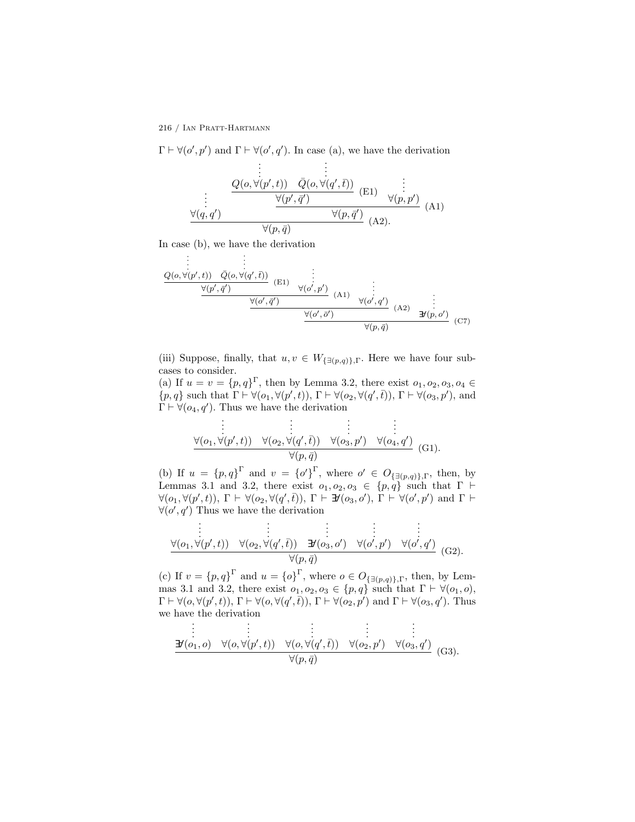$\Gamma \vdash \forall (o', p')$  and  $\Gamma \vdash \forall (o', q')$ . In case (a), we have the derivation

$$
\begin{array}{cc}\n\vdots & \vdots \\
Q(o, \forall (p', t)) & \bar{Q}(o, \forall (q', \bar{t})) & \vdots \\
\vdots & \forall (p', \bar{q}') & (\text{E1}) & \forall (p, p') \\
\hline\n\forall (q, q') & \forall (p, \bar{q}) & (\text{A2}).\n\end{array}
$$

In case (b), we have the derivation

. . . . *Q*(*o,* 8(*p*<sup>0</sup> *, t*)) . . . . *<sup>Q</sup>*¯(*o,* <sup>8</sup>(*q*<sup>0</sup> *,t* ¯)) 8(*p*<sup>0</sup> *, q*¯0 ) (E1) . . . . 8(*o*<sup>0</sup> *, p*0 ) 8(*o*<sup>0</sup> *, q*¯0 ) (A1) . . . . 8(*o*<sup>0</sup> *, q*0 ) 8(*o*<sup>0</sup> *, o*¯0 ) (A2) . . . Æ. (*p, o*0 ) <sup>8</sup>(*p, <sup>q</sup>*¯) (C7)

(iii) Suppose, finally, that  $u, v \in W_{\{\exists(p,q)\},\Gamma}$ . Here we have four subcases to consider.

(a) If  $u = v = {p, q}^{\Gamma}$ , then by Lemma 3.2, there exist  $o_1, o_2, o_3, o_4 \in$  $\{p,q\}$  such that  $\Gamma\vdash \forall (o_1, \forall (p',t)),\, \Gamma\vdash \forall (o_2, \forall (q',\bar{t})),\, \Gamma\vdash \forall (o_3,p'),$  and  $\Gamma \vdash \forall (o_4, q').$  Thus we have the derivation

$$
\begin{array}{ccccc}\n&\vdots&\vdots&\vdots\\ \n\frac{\forall(o_1,\forall(p',t))&\forall(o_2,\forall(q',\bar{t}))&\forall(o_3,p')&\forall(o_4,q')\\ \n\vdots&&\vdots\\ \n\frac{\forall(p,\bar{q})}&\n\end{array} (G1).
$$

(b) If  $u = {p, q}^{\Gamma}$  and  $v = {o'}^{\Gamma}$ , where  $o' \in O_{\{\exists(p,q)\},\Gamma}$ , then, by Lemmas 3.1 and 3.2, there exist  $o_1, o_2, o_3 \in \{p, q\}$  such that  $\Gamma \vdash$  $\forall (o_1, \forall (p', t)), \Gamma \vdash \forall (o_2, \forall (q', \overline{t})), \Gamma \vdash \exists t(o_3, o'), \Gamma \vdash \forall (o', p') \text{ and } \Gamma \vdash$  $\forall$ ( $o', q'$ ) Thus we have the derivation

$$
\begin{array}{cccc}\n\vdots & \vdots & \vdots & \vdots \\
\forall (o_1, \forall (p', t)) & \forall (o_2, \forall (q', \overline{t})) & \exists t(o_3, o') & \forall (o', p') & \forall (o', q') \\
\forall (p, \overline{q}) & & & \end{array} (G2).
$$

(c) If  $v = {p, q}^{\Gamma}$  and  $u = {o}^{\Gamma}$ , where  $o \in O_{\{\exists(p,q)\},\Gamma}$ , then, by Lemmas 3.1 and 3.2, there exist  $o_1, o_2, o_3 \in \{p, q\}$  such that  $\Gamma \vdash \forall (o_1, o),$  $\Gamma \vdash \forall (o, \forall (p', t)), \Gamma \vdash \forall (o, \forall (q', \overline{t})), \Gamma \vdash \forall (o_2, p') \text{ and } \Gamma \vdash \forall (o_3, q'). \text{ Thus}$ we have the derivation

$$
\begin{array}{cccc}\n\vdots & \vdots & \vdots & \vdots & \vdots \\
\exists f(o_1, o) & \forall (o, \forall (p', t)) & \forall (o, \forall (q', \overline{t})) & \forall (o_2, p') & \forall (o_3, q') \\
& \forall (p, \overline{q}) & & & \end{array} (G3).\n\end{array}
$$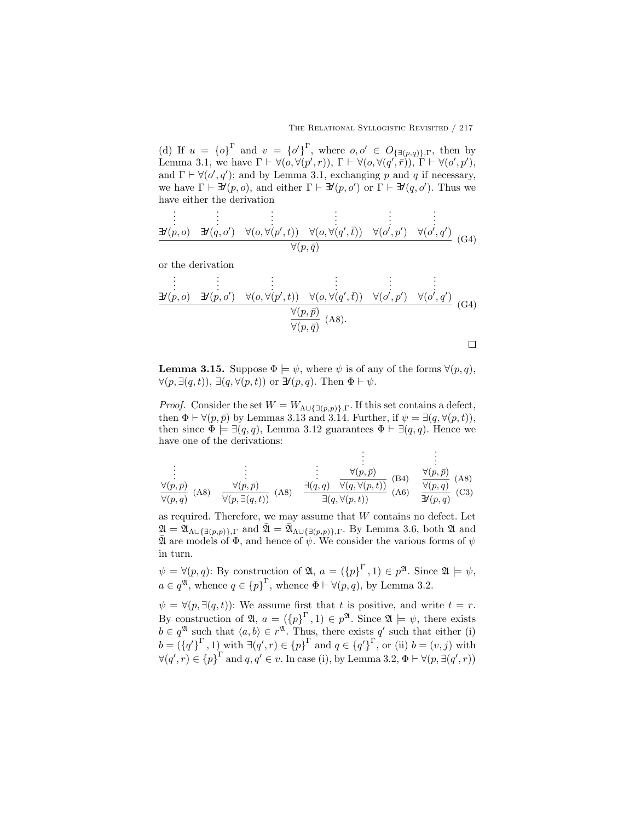(d) If  $u = \{o\}^{\Gamma}$  and  $v = \{o'\}^{\Gamma}$ , where  $o, o' \in O_{\{\exists(p,q)\},\Gamma}$ , then by Lemma 3.1, we have  $\Gamma \vdash \forall (o, \forall (p', r)), \Gamma \vdash \forall (o, \forall (q', \overline{r})), \Gamma \vdash \forall (o', p'),$ and  $\Gamma \vdash \forall (o', q')$ ; and by Lemma 3.1, exchanging *p* and *q* if necessary, we have  $\Gamma \vdash \exists f(p, o)$ , and either  $\Gamma \vdash \exists f(p, o')$  or  $\Gamma \vdash \exists f(q, o')$ . Thus we have either the derivation

. . Æ. (*p, o*) . . . Æ. (*q, o*0 ) . . . . 8(*o,* 8(*p*<sup>0</sup> *, t*)) . . . . 8(*o,* 8(*q*<sup>0</sup> *,t* ¯)) . . . . 8(*o*<sup>0</sup> *, p*0 ) . . . . 8(*o*<sup>0</sup> *, q*0 ) <sup>8</sup>(*p, <sup>q</sup>*¯) (G4)

or the derivation

. . Æ. (*p, o*) . . . Æ. (*p, o*<sup>0</sup> ) . . . . 8(*o,* 8(*p*<sup>0</sup> *, t*)) . . . . 8(*o,* 8(*q*<sup>0</sup> *,t* ¯)) . . . . 8(*o*<sup>0</sup> *, p*<sup>0</sup> ) . . . . 8(*o*<sup>0</sup> *, q*<sup>0</sup> ) <sup>8</sup>(*p, <sup>p</sup>*¯) (G4) <sup>8</sup>(*p, <sup>q</sup>*¯) (A8)*.*

**Lemma 3.15.** Suppose  $\Phi \models \psi$ , where  $\psi$  is of any of the forms  $\forall (p, q)$ ,  $\forall (p, \exists (q, t)), \exists (q, \forall (p, t)) \text{ or } \exists t(p, q). \text{ Then } \Phi \vdash \psi.$ 

*Proof.* Consider the set  $W = W_{\Lambda \cup \{\exists(p,p)\},\Gamma}$ . If this set contains a defect, then  $\Phi \vdash \forall (p, \bar{p})$  by Lemmas 3.13 and 3.14. Further, if  $\psi = \exists (q, \forall (p, t)),$ then since  $\Phi \models \exists (q, q)$ , Lemma 3.12 guarantees  $\Phi \vdash \exists (q, q)$ . Hence we have one of the derivations:

.

.

. . . . 8(*p, p*¯) <sup>8</sup>(*p, q*) (A8) . . . . 8(*p, p*¯) <sup>8</sup>(*p,* <sup>9</sup>(*q, t*)) (A8) . . . . 9(*q, q*) . . . 8(*p, p*¯) <sup>8</sup>(*q,* <sup>8</sup>(*p, t*)) (B4) <sup>9</sup>(*q,* <sup>8</sup>(*p, t*)) (A6) . . . 8(*p, p*¯) <sup>8</sup>(*p, q*) (A8) Æ (*p, q*) (C3)

as required. Therefore, we may assume that *W* contains no defect. Let  $\mathfrak{A} = \mathfrak{A}_{\Lambda \cup \{\exists (p,p)\},\Gamma}$  and  $\overline{\mathfrak{A}} = \overline{\mathfrak{A}}_{\Lambda \cup \{\exists (p,p)\},\Gamma}$ . By Lemma 3.6, both  $\mathfrak{A}$  and  $\overline{\mathfrak{A}}$  are models of  $\Phi$ , and hence of  $\psi$ . We consider the various forms of  $\psi$ in turn.

 $\psi = \forall (p, q)$ : By construction of  $\mathfrak{A}, a = (\{p\}^{\Gamma}, 1) \in p^{\mathfrak{A}}$ . Since  $\mathfrak{A} \models \psi$ ,  $a \in q^{\mathfrak{A}},$  whence  $q \in {p}^{\Gamma}$ , whence  $\Phi \vdash \forall (p, q)$ , by Lemma 3.2.

 $\psi = \forall (p, \exists (q, t))$ : We assume first that *t* is positive, and write  $t = r$ . By construction of  $\mathfrak{A}, a = (\{p\}^{\Gamma}, 1) \in p^{\mathfrak{A}}$ . Since  $\mathfrak{A} \models \psi$ , there exists  $b \in q^{\mathfrak{A}}$  such that  $\langle a, b \rangle \in r^{\mathfrak{A}}$ . Thus, there exists *q*<sup>0</sup> such that either (i)  $b = (\{q'\}^{\Gamma}, 1)$  with  $\exists (q', r) \in \{p\}^{\Gamma}$  and  $q \in \{q'\}^{\Gamma}$ , or (ii)  $b = (v, j)$  with  $\forall (q', r) \in \{p\}^{\Gamma} \text{ and } q, q' \in v. \text{ In case (i), by Lemma 3.2, } \Phi \vdash \forall (p, \exists (q', r))$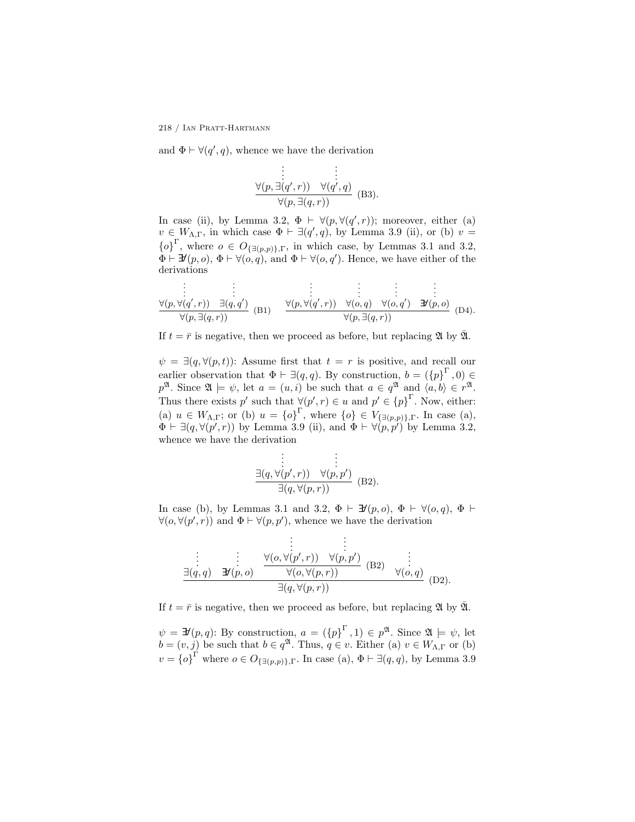and  $\Phi \vdash \forall (q', q)$ , whence we have the derivation

$$
\begin{array}{c}\n\vdots \\
\forall (p,\exists (q',r))\quad\forall (q',q) \\
\hline\n\forall (p,\exists (q,r))\n\end{array} (B3).
$$

In case (ii), by Lemma 3.2,  $\Phi \vdash \forall (p, \forall (q', r))$ ; moreover, either (a)  $v \in W_{\Lambda,\Gamma}$ , in which case  $\Phi \vdash \exists (q', q)$ , by Lemma 3.9 (ii), or (b)  $v =$  ${o}^{r}$ , where  $o \in O_{\{\exists(p,p)\},r}$ , in which case, by Lemmas 3.1 and 3.2,  $\Phi \vdash \exists f(p, o), \Phi \vdash \forall (o, q), \text{ and } \Phi \vdash \forall (o, q').$  Hence, we have either of the derivations

$$
\begin{array}{cccc}\n\vdots & \vdots & \vdots & \vdots & \vdots \\
\frac{\forall (p, \forall (q', r)) & \exists (q, q') & \forall (p, \forall (q', r)) & \forall (o, q) & \forall (o, q') & \exists f(p, o) \\
\frac{\forall (p, \exists (q, r))} & & \forall (p, \exists (q, r)) & \forall (p, \exists (q, r)) & \forall (p, \exists (q, r))\n\end{array} (D4).\n\end{array}
$$

If  $t = \bar{r}$  is negative, then we proceed as before, but replacing  $\mathfrak{A}$  by  $\bar{\mathfrak{A}}$ .

 $\psi = \exists (q, \forall (p, t))$ : Assume first that  $t = r$  is positive, and recall our earlier observation that  $\Phi \vdash \exists (q, q)$ . By construction,  $b = (\{p\}^{\Gamma}, 0) \in$  $p^{\mathfrak{A}}$ . Since  $\mathfrak{A} \models \psi$ , let  $a = (u, i)$  be such that  $a \in q^{\mathfrak{A}}$  and  $\langle a, b \rangle \in r^{\mathfrak{A}}$ . Thus there exists  $p'$  such that  $\forall (p', r) \in u$  and  $p' \in \{p\}^{\Gamma}$ . Now, either: (a)  $u \in W_{\Lambda,\Gamma}$ ; or (b)  $u = \{o\}^{\Gamma}$ , where  $\{o\} \in V_{\{\exists(p,p)\},\Gamma}$ . In case (a),  $\Phi \vdash \exists (q, \forall (p', r))$  by Lemma 3.9 (ii), and  $\Phi \vdash \forall (p, p')$  by Lemma 3.2, whence we have the derivation

$$
\begin{array}{c}\n\vdots & \vdots \\
\exists(q,\forall(p',r)) & \forall(p,p') \\
\exists(q,\forall(p,r)) & (B2).\n\end{array}
$$

In case (b), by Lemmas 3.1 and 3.2,  $\Phi \vdash \exists f(p, o), \Phi \vdash \forall (o, q), \Phi \vdash$  $\forall (o, \forall (p', r))$  and  $\Phi \vdash \forall (p, p')$ , whence we have the derivation

$$
\begin{array}{cccc}\n\vdots & \vdots & \vdots & \vdots \\
\exists (q,q) & \exists p(p,o) & \forall (p,p') & \forall (p,p') & \exists (q,q') & \forall (o,q) \\
\exists (q,\forall (p,r)) & & \exists (q,\forall (p,r)) & \forall (o,q) & \forall (o,q) \\
\end{array}
$$
(D2).

If  $t = \bar{r}$  is negative, then we proceed as before, but replacing  $\mathfrak{A}$  by  $\bar{\mathfrak{A}}$ .

 $\psi = \mathbf{\mathcal{F}}(p,q)$ : By construction,  $a = (\{p\}^{\Gamma}, 1) \in p^{\mathfrak{A}}$ . Since  $\mathfrak{A} \models \psi$ , let  $b = (v, j)$  be such that  $b \in q^{\mathfrak{A}}$ . Thus,  $q \in v$ . Either (a)  $v \in W_{\Lambda, \Gamma}$  or (b)  $v = \{o\}^{\Gamma}$  where  $o \in O_{\{\exists(p,p)\},\Gamma}$ . In case (a),  $\Phi \vdash \exists(q,q)$ , by Lemma 3.9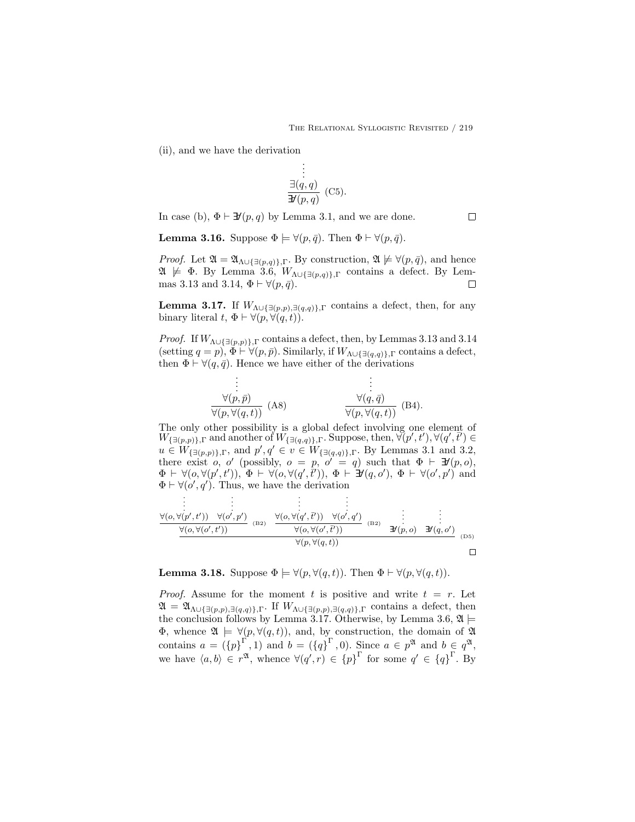(ii), and we have the derivation

.

$$
\vdots
$$
  

$$
\frac{\exists (q, q)}{\exists (p, q)} (C5).
$$

.

In case (b),  $\Phi \vdash \exists t(p,q)$  by Lemma 3.1, and we are done.

 $\Box$ 

**Lemma 3.16.** Suppose  $\Phi \models \forall (p, \bar{q})$ . Then  $\Phi \vdash \forall (p, \bar{q})$ .

*Proof.* Let  $\mathfrak{A} = \mathfrak{A}_{\Lambda \cup \{\exists (p,q)\},\Gamma}$ . By construction,  $\mathfrak{A} \not\models \forall (p,\bar{q})$ , and hence  $\mathfrak{A} \not\models \Phi$ . By Lemma 3.6,  $W_{\Lambda \cup \{\exists (p,q)\},\Gamma}$  contains a defect. By Lemmas 3.13 and 3.14,  $\Phi \vdash \forall (p,\bar{q})$ . mas 3.13 and 3.14,  $\Phi \vdash \forall (p, \bar{q})$ .

**Lemma 3.17.** If  $W_{\Lambda \cup \{\exists(p,p), \exists(q,q)\},\Gamma}$  contains a defect, then, for any binary literal  $t, \Phi \vdash \forall (p, \forall (q, t)).$ 

*Proof.* If  $W_{\Lambda \cup \{\exists(p,p)\},\Gamma}$  contains a defect, then, by Lemmas 3.13 and 3.14 (setting  $q = p$ ),  $\Phi \vdash \forall (p, \bar{p})$ . Similarly, if  $W_{\Lambda \cup \{\exists (q,q)\},\Gamma}$  contains a defect, then  $\Phi \vdash \forall (q, \bar{q})$ . Hence we have either of the derivations

$$
\vdots
$$
\n
$$
\forall (p, \overline{p})
$$
\n
$$
\forall (p, \forall (q, t))
$$
\n(A8)\n
$$
\frac{\forall (q, \overline{q})}{\forall (p, \forall (q, t))}
$$
\n(B4).

The only other possibility is a global defect involving one element of  $W_{\{\exists(p,p)\},\Gamma}$  and another of  $W_{\{\exists(q,q)\},\Gamma}$ . Suppose, then,  $\forall (p',t'), \forall (q',\bar{t}') \in$  $u \in W_{\{\exists(p,p)\},\Gamma}$ , and  $p', q' \in v \in W_{\{\exists(q,q)\},\Gamma}$ . By Lemmas 3.1 and 3.2, there exist *o*, *o'* (possibly,  $o = p$ ,  $o' = q$ ) such that  $\Phi \vdash \exists f(p, o)$ ,  $\Phi \vdash \forall (o, \forall (p', t')), \Phi \vdash \forall (o, \forall (q', \overline{t}')), \Phi \vdash \exists t (q, o'), \Phi \vdash \forall (o', p') \text{ and }$  $\Phi \vdash \forall (o', q')$ . Thus, we have the derivation

. . . 8(*o,* 8(*p*<sup>0</sup> *, t*0 )) . . . . 8(*o*<sup>0</sup> *, p*0 ) 8(*o,* 8(*o*<sup>0</sup> *, t*0 )) (B2) . . . 8(*o,* 8(*q*<sup>0</sup> *,t* ¯0 )) . . . 8(*o*<sup>0</sup> *, q*0 ) 8(*o,* 8(*o*<sup>0</sup> *,t* ¯0 )) (B2) . . . Æ. (*p, o*) . . . Æ. (*q, o*0 ) <sup>8</sup>(*p,* <sup>8</sup>(*q, t*)) (D5)

.

**Lemma 3.18.** Suppose  $\Phi \models \forall (p, \forall (q, t))$ . Then  $\Phi \vdash \forall (p, \forall (q, t))$ .

.

*Proof.* Assume for the moment *t* is positive and write  $t = r$ . Let  $\mathfrak{A} = \mathfrak{A}_{\Lambda \cup \{\exists (p,p), \exists (q,q)\},\Gamma}$ . If  $W_{\Lambda \cup \{\exists (p,p), \exists (q,q)\},\Gamma}$  contains a defect, then the conclusion follows by Lemma 3.17. Otherwise, by Lemma 3.6,  $\mathfrak{A} \models$  $\Phi$ , whence  $\mathfrak{A} \models \forall (p, \forall (q, t)),$  and, by construction, the domain of  $\mathfrak{A}$ contains  $a = (\{p\}^{\Gamma}, 1)$  and  $b = (\{q\}^{\Gamma}, 0)$ . Since  $a \in p^{\mathfrak{A}}$  and  $b \in q^{\mathfrak{A}}$ , we have  $\langle a, b \rangle \in r^{\mathfrak{A}}, \text{ whence } \forall (q', r) \in \{p\}^{\Gamma} \text{ for some } q' \in \{q\}^{\Gamma}. \text{ By}$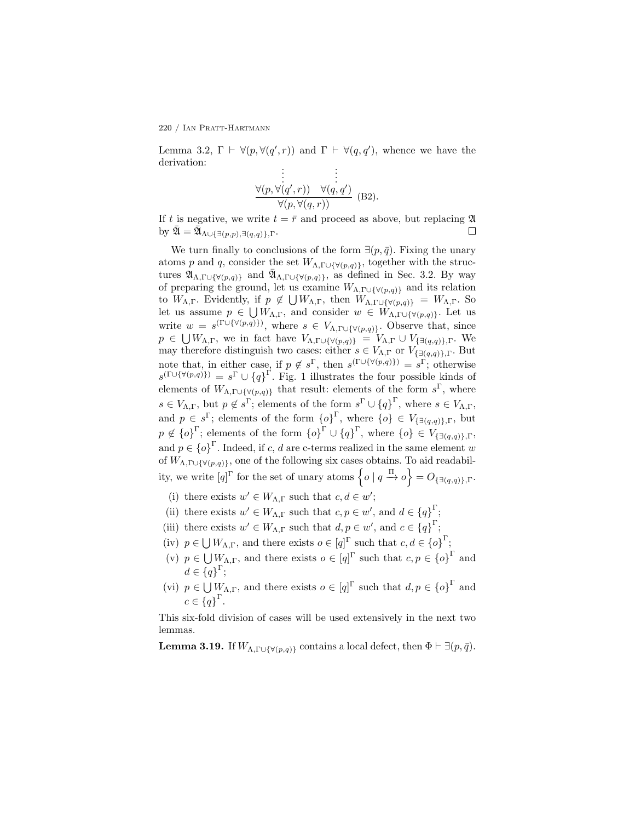Lemma 3.2,  $\Gamma \vdash \forall (p, \forall (q', r))$  and  $\Gamma \vdash \forall (q, q')$ , whence we have the derivation: .

$$
\begin{array}{c}\vdots\\ \forall (p, \forall (q',r))\quad\forall (q,q')\\ \forall (p, \forall (q,r))\end{array} \text{ (B2)}.
$$

If t is negative, we write  $t = \bar{r}$  and proceed as above, but replacing  $\mathfrak{A}$ by  $\mathfrak{A} = \mathfrak{A}_{\Lambda \cup \{\exists (p,p), \exists (q,q)\},\Gamma}$ . П

We turn finally to conclusions of the form  $\exists (p, \bar{q})$ . Fixing the unary atoms *p* and *q*, consider the set  $W_{\Lambda,\Gamma\cup{\{\forall(p,q)\}}}$ , together with the structures  $\mathfrak{A}_{\Lambda,\Gamma\cup\{\forall(p,q)\}}$  and  $\bar{\mathfrak{A}}_{\Lambda,\Gamma\cup\{\forall(p,q)\}}$ , as defined in Sec. 3.2. By way of preparing the ground, let us examine  $W_{\Lambda,\Gamma\cup\{\forall(p,q)\}}$  and its relation to  $W_{\Lambda,\Gamma}$ . Evidently, if  $p \notin \bigcup W_{\Lambda,\Gamma}$ , then  $W_{\Lambda,\Gamma\cup{\{\forall(p,q)\}}} = W_{\Lambda,\Gamma}$ . So let us assume  $p \in \bigcup W_{\Lambda,\Gamma}$ , and consider  $w \in W_{\Lambda,\Gamma\cup\{\forall(p,q)\}}$ . Let us write  $w = s^{(\Gamma \cup \{\forall (p,q)\})}$ , where  $s \in V_{\Lambda, \Gamma \cup \{\forall (p,q)\}}$ . Observe that, since  $p \in \bigcup W_{\Lambda,\Gamma}$ , we in fact have  $V_{\Lambda,\Gamma\cup\{\forall(p,q)\}} = V_{\Lambda,\Gamma} \cup V_{\{\exists(q,q)\},\Gamma}$ . We may therefore distinguish two cases: either  $s \in V_{\Lambda,\Gamma}$  or  $V_{\{\exists (q,q)\},\Gamma}$ . But note that, in either case, if  $p \notin s^{\Gamma}$ , then  $s^{(\Gamma \cup \{\forall (p,q)\})} = s^{\Gamma}$ ; otherwise  $s^{(\Gamma \cup \{\forall (p,q)\})} = s^{\Gamma} \cup \{q\}^{\Gamma}$ . Fig. 1 illustrates the four possible kinds of elements of  $W_{\Lambda,\Gamma\cup\{\forall(p,q)\}}$  that result: elements of the form  $s^{\Gamma}$ , where  $s \in V_{\Lambda,\Gamma}$ , but  $p \notin s^{\Gamma}$ ; elements of the form  $s^{\Gamma} \cup \{q\}^{\Gamma}$ , where  $s \in V_{\Lambda,\Gamma}$ , and  $p \in s^{\Gamma}$ ; elements of the form  $\{o\}^{\Gamma}$ , where  $\{o\} \in V_{\{\exists (q,q)\},\Gamma}$ , but  $p \notin \{o\}^{\Gamma}$ ; elements of the form  $\{o\}^{\Gamma} \cup \{q\}^{\Gamma}$ , where  $\{o\} \in V_{\{\exists (q,q)\},\Gamma}$ , and  $p \in \{o\}^{\Gamma}$ . Indeed, if *c*, *d* are *c*-terms realized in the same element *w* of  $W_{\Lambda,\Gamma\cup\{\forall(p,q)\}}$ , one of the following six cases obtains. To aid readability, we write  $[q]^{\Gamma}$  for the set of unary atoms  $\left\{o \mid q \stackrel{\Pi}{\to} o\right\} = O_{\{\exists (q,q)\},\Gamma}.$ 

- (i) there exists  $w' \in W_{\Lambda,\Gamma}$  such that  $c, d \in w'$ ;
- (ii) there exists  $w' \in W_{\Lambda,\Gamma}$  such that  $c, p \in w'$ , and  $d \in \{q\}^{\Gamma};$
- (iii) there exists  $w' \in W_{\Lambda,\Gamma}$  such that  $d, p \in w'$ , and  $c \in \{q\}^{\Gamma};$
- (iv)  $p \in \bigcup W_{\Lambda,\Gamma}$ , and there exists  $o \in [q]^{\Gamma}$  such that  $c, d \in {\{o\}}^{\Gamma}$ ;
- (v)  $p \in \bigcup W_{\Lambda,\Gamma}$ , and there exists  $o \in [q]^{\Gamma}$  such that  $c, p \in \{o\}^{\Gamma}$  and  $d \in \{q\}^{\Gamma};$
- (vi)  $p \in \bigcup_{\Gamma} W_{\Lambda,\Gamma}$ , and there exists  $o \in [q]^{\Gamma}$  such that  $d, p \in {\{o\}}^{\Gamma}$  and  $c \in \{q\}^{\Gamma}.$

This six-fold division of cases will be used extensively in the next two lemmas.

**Lemma 3.19.** If  $W_{\Lambda,\Gamma\cup\{\forall(p,q)\}}$  contains a local defect, then  $\Phi \vdash \exists (p,\bar{q})$ .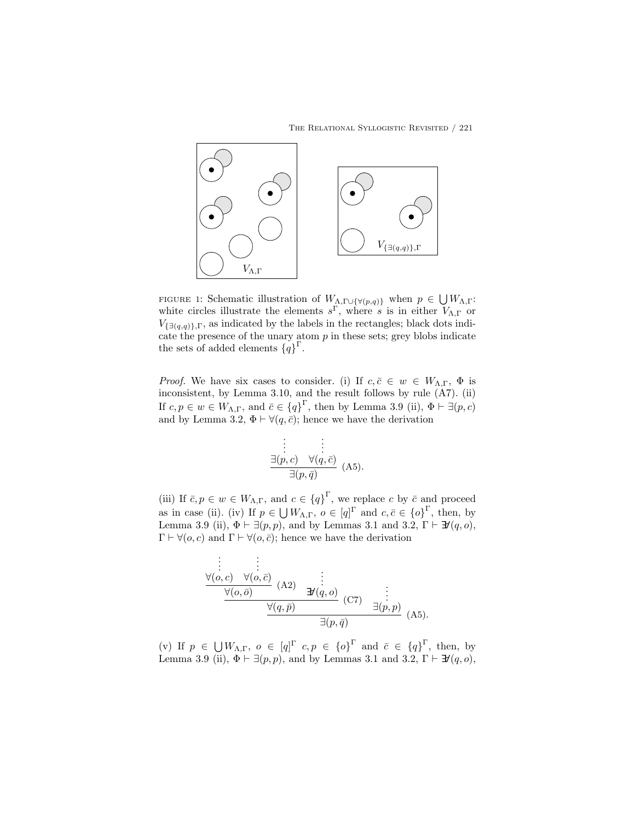The Relational Syllogistic Revisited / 221



FIGURE 1: Schematic illustration of  $W_{\Lambda,\Gamma\cup{\forall(\rho,q)}}$  when  $p \in \bigcup W_{\Lambda,\Gamma}$ : white circles illustrate the elements  $s^{\Gamma}$ , where *s* is in either  $V_{\Lambda,\Gamma}$  or  $V_{\{\exists (q,q)\}\text{,}\Gamma}$ , as indicated by the labels in the rectangles; black dots indicate the presence of the unary atom *p* in these sets; grey blobs indicate the sets of added elements  $\{q\}^{\Gamma}$ .

*Proof.* We have six cases to consider. (i) If  $c, \bar{c} \in w \in W_{\Lambda,\Gamma}, \Phi$  is inconsistent, by Lemma 3.10, and the result follows by rule (A7). (ii) If  $c, p \in w \in W_{\Lambda, \Gamma}$ , and  $\bar{c} \in \{q\}^{\Gamma}$ , then by Lemma 3.9 (ii),  $\Phi \vdash \exists (p, c)$ and by Lemma 3.2,  $\Phi \vdash \forall (q, \bar{c})$ ; hence we have the derivation

$$
\frac{\begin{array}{c}\n\vdots \\
\exists (p, c) \quad \forall (q, \bar{c}) \\
\exists (p, \bar{q})\n\end{array} (A5).
$$

(iii) If  $\bar{c}, p \in w \in W_{\Lambda,\Gamma}$ , and  $c \in \{q\}^{\Gamma}$ , we replace *c* by  $\bar{c}$  and proceed as in case (ii). (iv) If  $p \in \bigcup W_{\Lambda,\Gamma}$ ,  $o \in [q]^{\Gamma}$  and  $c, \bar{c} \in {o}^{\Gamma}$ , then, by Lemma 3.9 (ii),  $\Phi \vdash \exists (p, p)$ , and by Lemmas 3.1 and 3.2,  $\Gamma \vdash \exists f(q, o)$ ,  $\Gamma \vdash \forall (o, c)$  and  $\Gamma \vdash \forall (o, \overline{c})$ ; hence we have the derivation

$$
\begin{array}{c}\n\vdots & \vdots \\
\frac{\forall (o, c) \quad \forall (o, \bar{c})}{\forall (o, \bar{o})} \quad \text{(A2)} \\
\frac{\forall (q, \bar{p})} \quad \frac{\exists (p, p)}{\exists (p, \bar{q})} \quad \text{(C7)} \\
\frac{\forall (q, \bar{p})} \quad \frac{\exists (p, \bar{p})}{\exists (p, \bar{q})} \quad \text{(A5)}.\n\end{array}
$$

(v) If  $p \in \bigcup_{\Lambda,\Gamma} W_{\Lambda,\Gamma}$ ,  $o \in [q]^\Gamma$   $c, p \in \{o\}^\Gamma$  and  $\bar{c} \in \{q\}^\Gamma$ , then, by Lemma 3.9 (ii),  $\Phi \vdash \exists (p, p)$ , and by Lemmas 3.1 and 3.2,  $\Gamma \vdash \exists f(q, o)$ ,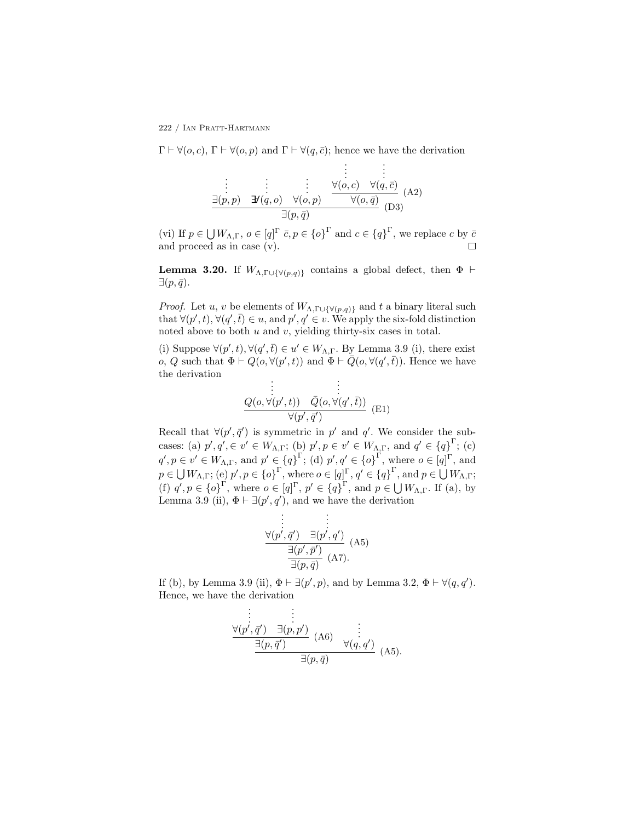$\Gamma \vdash \forall (o, c), \Gamma \vdash \forall (o, p) \text{ and } \Gamma \vdash \forall (q, \bar{c}); \text{ hence we have the derivation}$ 

$$
\begin{array}{cccc}\n\vdots & \vdots & \vdots & \forall (o, c) & \forall (q, \bar{c}) \\
\exists (p, p) & \exists \forall (q, o) & \forall (o, p) & \forall (o, \bar{q}) \\
\exists (p, \bar{q}) & & & \forall (o, \bar{q})\n\end{array}
$$
(A2)

(vi) If  $p \in \bigcup W_{\Lambda,\Gamma}$ ,  $o \in [q]^\Gamma \bar{c}$ ,  $p \in \{o\}^\Gamma$  and  $c \in \{q\}^\Gamma$ , we replace  $c$  by  $\bar{c}$ and proceed as in case (v).

**Lemma 3.20.** If  $W_{\Lambda,\Gamma\cup\{\forall(p,q)\}}$  contains a global defect, then  $\Phi$   $\vdash$  $\exists (p,\bar{q})$ .

*Proof.* Let *u*, *v* be elements of  $W_{\Lambda,\Gamma\cup{\{\forall(p,q)\}}}$  and *t* a binary literal such that  $\forall (p', t), \forall (q', \overline{t}) \in u$ , and  $p', q' \in v$ . We apply the six-fold distinction noted above to both *u* and *v*, yielding thirty-six cases in total.

(i) Suppose  $\forall (p', t), \forall (q', \overline{t}) \in u' \in W_{\Lambda, \Gamma}$ . By Lemma 3.9 (i), there exist *o*, *Q* such that  $\Phi \vdash Q(o, \forall (p', t))$  and  $\Phi \vdash \overline{Q}(o, \forall (q', \overline{t}))$ . Hence we have the derivation

$$
\begin{array}{c}\n\vdots \\
Q(o, \forall (p', t)) \quad \bar{Q}(o, \forall (q', \bar{t})) \\
\hline\n\forall (p', \bar{q}')\n\end{array} (E1)
$$

Recall that  $\forall (p', \bar{q}')$  is symmetric in p' and q'. We consider the subcases: (a)  $p', q', \in v' \in W_{\Lambda,\Gamma}$ ; (b)  $p', p \in v' \in W_{\Lambda,\Gamma}$ , and  $q' \in \{q\}^{\Gamma}$ ; (c)  $q', p \in v' \in W_{\Lambda, \Gamma}$ , and  $p' \in \{q\}^{\Gamma}$ ; (d)  $p', q' \in \{o\}^{\Gamma}$ , where  $o \in [q]^{\Gamma}$ , and  $p \in \bigcup W_{\Lambda,\Gamma}$ ; (e)  $p', p \in \{o\}^{\Gamma}$ , where  $o \in [q]_p^{\Gamma}, q' \in \{q\}^{\Gamma}$ , and  $p \in \bigcup W_{\Lambda,\Gamma}$ ; (f)  $q', p \in \{o\}^{\Gamma}$ , where  $o \in [q]^{\Gamma}$ ,  $p' \in \{q\}^{\Gamma}$ , and  $p \in \bigcup W_{\Lambda, \Gamma}$ . If (a), by Lemma 3.9 (ii),  $\Phi \vdash \exists (p', q')$ , and we have the derivation

$$
\begin{array}{c}\n\vdots & \vdots \\
\frac{\forall (p',\bar{q}') \quad \exists (p',q') \quad (A5)}{\exists (p,\bar{q}) \quad (A7)}\n\end{array}
$$

If (b), by Lemma 3.9 (ii),  $\Phi \vdash \exists (p', p)$ , and by Lemma 3.2,  $\Phi \vdash \forall (q, q').$ Hence, we have the derivation

.

.

$$
\begin{array}{c}\n\vdots & \vdots \\
\forall (p', \bar{q}') \quad \exists (p, p') \\
\hline\n\exists (p, \bar{q}')\n\end{array} (A6) \quad \begin{array}{c}\n\vdots \\
\forall (q, q')\n\end{array} (A5).\n\end{array}
$$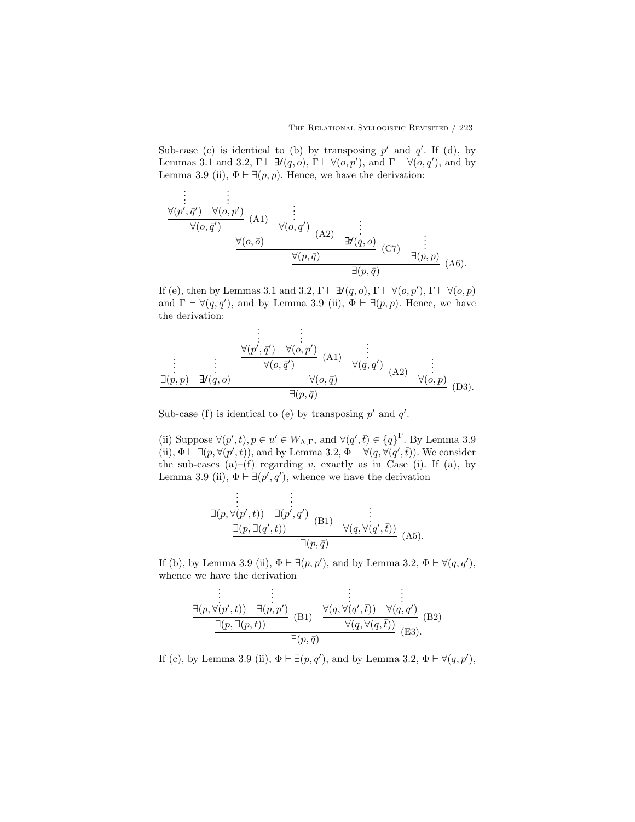Sub-case (c) is identical to (b) by transposing  $p'$  and  $q'$ . If (d), by Lemmas 3.1 and 3.2,  $\Gamma \vdash \exists \neg (q, o), \Gamma \vdash \forall (o, p'),$  and  $\Gamma \vdash \forall (o, q'),$  and by Lemma 3.9 (ii),  $\Phi \vdash \exists (p, p)$ . Hence, we have the derivation:

$$
\begin{array}{c}\n\vdots & \vdots \\
\frac{\forall (p',\bar{q}') \quad \forall (o,p')}{\forall (o,\bar{q}') \quad (\mathrm{A1})} & \vdots \\
\frac{\forall (o,\bar{q}') \quad \qquad (\mathrm{A2}) \quad \forall (o,q')}{\forall (o,\bar{o})} & \text{A2}\n\end{array} \quad \begin{array}{c}\n\vdots \\
\frac{\forall (p,\bar{q})}{\forall (p,\bar{q})} & \text{C7}\n\end{array} \quad \begin{array}{c}\n\vdots \\
\frac{\exists (p,p) \quad (\mathrm{A6})}{\forall (p,\bar{q})}\n\end{array}
$$

If (e), then by Lemmas 3.1 and 3.2,  $\Gamma \vdash \exists f(q, o), \Gamma \vdash \forall (o, p'), \Gamma \vdash \forall (o, p)$ and  $\Gamma \vdash \forall (q, q'),$  and by Lemma 3.9 (ii),  $\Phi \vdash \exists (p, p)$ . Hence, we have the derivation:

$$
\begin{array}{c}\n\vdots & \vdots \\
\forall (p', \bar{q}') \quad \forall (o, p') \\
\vdots & \vdots \quad \forall (o, \bar{q}') \quad (\text{A1}) \quad \forall (q, q') \\
\exists (p, p) \quad \exists f(q, o) \quad \exists (p, \bar{q}) \quad (\text{A2}) \quad \forall (o, p) \\
\exists (p, \bar{q}) \quad (\text{D3}).\n\end{array}
$$

Sub-case (f) is identical to (e) by transposing  $p'$  and  $q'$ .

(ii) Suppose  $\forall (p', t), p \in u' \in W_{\Lambda, \Gamma}$ , and  $\forall (q', \overline{t}) \in \{q\}^{\Gamma}$ . By Lemma 3.9 (ii),  $\Phi \vdash \exists (p, \forall (p', t))$ , and by Lemma 3.2,  $\Phi \vdash \forall (q, \forall (q', t))$ . We consider the sub-cases  $(a)$ – $(f)$  regarding *v*, exactly as in Case (i). If (a), by Lemma 3.9 (ii),  $\Phi \vdash \exists (p', q')$ , whence we have the derivation

$$
\frac{\exists (p, \forall (p', t)) \quad \exists (p', q') \quad (\text{B1}) \quad \exists (p, \exists (q', t)) \quad \exists (p, \bar{q}) \quad \forall (q, \forall (q', t)) \quad (\text{A5}).}{\exists (p, \bar{q})}
$$

If (b), by Lemma 3.9 (ii),  $\Phi \vdash \exists (p, p')$ , and by Lemma 3.2,  $\Phi \vdash \forall (q, q')$ , whence we have the derivation

$$
\frac{\exists (p, \forall (p', t)) \quad \exists (p, p') \quad (\text{B1}) \quad \frac{\forall (q, \forall (q', \overline{t})) \quad \forall (q, q')}{\forall (q, \forall (q, \overline{t}))} \quad (\text{B2})}{\exists (p, \overline{q})} \quad (\text{B3}).
$$

If (c), by Lemma 3.9 (ii),  $\Phi \vdash \exists (p, q')$ , and by Lemma 3.2,  $\Phi \vdash \forall (q, p')$ ,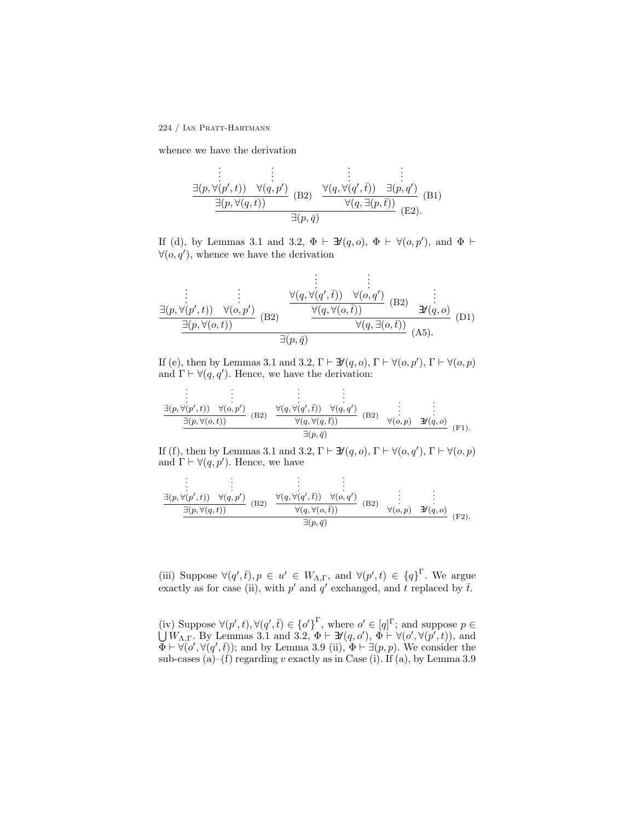whence we have the derivation

$$
\frac{\vdots}{\exists (p, \forall (p', t))}\n\quad\n\frac{\forall (q, p')}{\exists (p, \forall (q, t))}\n\quad\n\frac{\forall (q, \forall (q', \overline{t}))}\n\frac{\exists (p, q')}{\forall (q, \exists (p, \overline{t}))}\n\quad (B1)\n}{\exists (p, \overline{q})}\n\quad (E2).
$$

If (d), by Lemmas 3.1 and 3.2,  $\Phi \vdash \exists f(q, o), \Phi \vdash \forall (o, p'),$  and  $\Phi \vdash$  $\forall (o, q')$ , whence we have the derivation

$$
\begin{array}{ccccc}\n&\vdots&\vdots&\vdots\\ \n\frac{\exists (p,\forall (p',t))&\forall(o,p')}{\exists (p,\forall(o,t))}&\text{(B2)}&\frac{\forall (q,\forall (q,\bar{t}))&\forall(o,q')}{\forall (q,\forall(o,\bar{t}))}&\text{(B2)}&\frac{\exists (q,o)}{\forall (q,\exists(o,\bar{t}))}\\
\frac{\exists (p,\forall(o,t))&\exists (p,\bar{q})}&\text{(A5)}.\n\end{array}
$$

If (e), then by Lemmas 3.1 and 3.2,  $\Gamma \vdash \exists f(q, o), \Gamma \vdash \forall (o, p'), \Gamma \vdash \forall (o, p)$ and  $\Gamma \vdash \forall (q, q')$ . Hence, we have the derivation:

$$
\frac{\exists (p, \forall (p', t)) \quad \forall (o, p') \quad (B2) \quad \frac{\forall (q, \forall (q', \overline{t})) \quad \forall (q, q')}{\forall (q, \forall (q, \overline{t}))} \quad (B2) \quad \frac{\vdots}{\forall (q, \forall (q, \overline{t}))} \quad (B3) \quad \frac{\vdots}{\forall (o, p)} \quad \frac{\vdots}{\forall (o, p)} \quad (F1).
$$

If (f), then by Lemmas 3.1 and 3.2,  $\Gamma \vdash \exists t (q, o), \Gamma \vdash \forall (o, q'), \Gamma \vdash \forall (o, p)$ and  $\Gamma \vdash \forall (q, p').$  Hence, we have

$$
\frac{\exists (p, \forall (p', t)) \quad \forall (q, p') \quad \text{(B2)} \quad \frac{\forall (q, \forall (q', \overline{t})) \quad \forall (o, q') \quad \text{(B2)}}{\forall (q, \forall (q, \overline{t}))} \quad \text{(B3)} \quad \frac{\forall (q, \forall (q', \overline{t})) \quad \forall (o, q') \quad \text{(B4)} \quad \text{(B5)} \quad \text{(B6)} \quad \text{(C6)} \quad \text{(D7)} \quad \text{(E7)} \quad \text{(E8)} \quad \text{(E9)} \quad \text{(E9)} \quad \text{(E1)} \quad \frac{\exists (p, \overline{q}) \quad \text{(E1)} \quad \text{(E2)} \quad \text{(E5)} \quad \text{(E6)} \quad \text{(E9)} \quad \text{(E1)} \quad \text{(E1)} \quad \text{(E2)} \quad \text{(E3)} \quad \text{(E4)} \quad \text{(E5)} \quad \text{(E6)} \quad \text{(E6)} \quad \text{(E7)} \quad \text{(E8)} \quad \text{(E9)} \quad \text{(E1)} \quad \text{(E1)} \quad \text{(E2)} \quad \text{(E3)} \quad \text{(E4)} \quad \text{(E5)} \quad \text{(E6)} \quad \text{(E7)} \quad \text{(E8)} \quad \text{(E9)} \quad \text{(E9)} \quad \text{(E1)} \quad \text{(E1)} \quad \text{(E2)} \quad \text{(E3)} \quad \text{(E4)} \quad \text{(E5)} \quad \text{(E6)} \quad \text{(E6)} \quad \text{(E7)} \quad \text{(E8)} \quad \text{(E9)} \quad \text{(E9)} \quad \text{(E1)} \quad \text{(E1)} \quad \text{(E2)} \quad \text{(E3)} \quad \text{(E4)} \quad \text{(E5)} \quad \text{(E6)} \quad \text{(E6)} \quad \text{(E7)} \quad \text{(E8)} \quad \text{(E9)} \quad \text{(E9)} \quad \text{(E1)} \quad \text{(E1)} \quad \text{(E2)} \quad \text{(E3)} \quad \text{(E4)} \quad \text{(E5)} \quad \text{(E6)} \quad \text{(E7)} \quad \text{(E9)} \quad \text{(E1)} \quad \text{(E2)} \quad \text{(E3)} \quad \text{(E4)} \quad \text{(E5)} \quad \text{(E6)} \quad \text{(E7)} \quad \text{(E9
$$

(iii) Suppose  $\forall (q', \overline{t}), p \in u' \in W_{\Lambda, \Gamma}$ , and  $\forall (p', t) \in \{q\}^{\Gamma}$ . We argue exactly as for case (ii), with  $p'$  and  $q'$  exchanged, and  $t$  replaced by  $\bar{t}$ .

 $(\text{iv})$  Suppose  $\forall (p', t), \forall (q', \overline{t}) \in \{o'\}^{\Gamma}$ , where  $o' \in [q]^{\Gamma}$ (iv) Suppose  $\forall (p',t), \forall (q',\overline{t}) \in \{o'\}^1$ , where  $o' \in [q]^{\Gamma}$ ; and suppose  $p \in$ <br> $\Box W_{\Lambda,\Gamma}$ . By Lemmas 3.1 and 3.2,  $\Phi \vdash \exists f(q, o'), \Phi \vdash \forall (o', \forall (p', t))$ , and  $W_{\Lambda,\Gamma}$ . By Lemmas 3.1 and 3.2,  $\Phi \vdash \exists f(q, o'), \Phi \vdash \forall (o', \forall (p', t)),$  and  $\Phi \vdash \forall (\sigma', \forall (q', \bar{t}))$ ; and by Lemma 3.9 (ii),  $\Phi \vdash \exists (p, p)$ . We consider the sub-cases  $(a)$ –(f) regarding *v* exactly as in Case (i). If  $(a)$ , by Lemma 3.9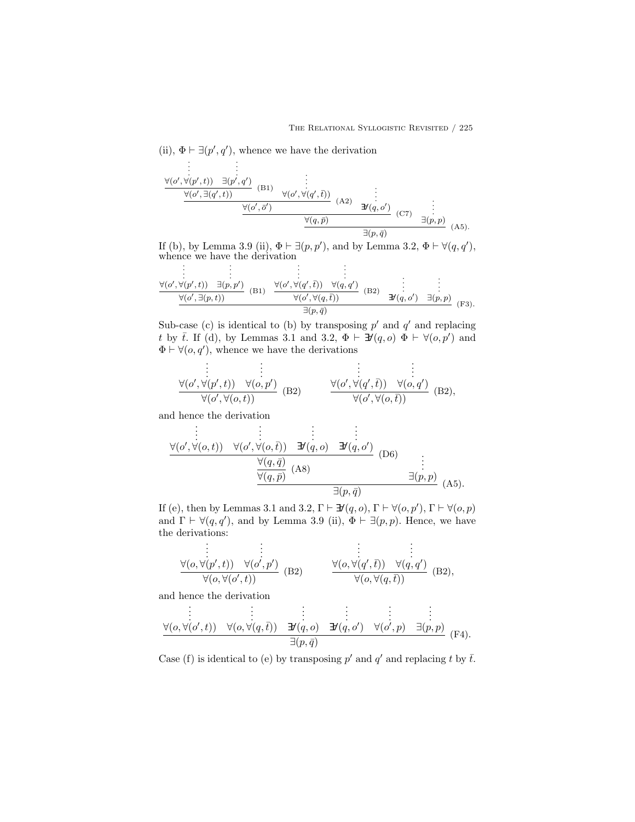(ii),  $\Phi \vdash \exists (p', q')$ , whence we have the derivation

. . . . 8(*o*<sup>0</sup> *,* 8(*p*<sup>0</sup> *, t*)) . . . . 9(*p*<sup>0</sup> *, q*0 ) 8(*o*<sup>0</sup> *,* 9(*q*<sup>0</sup> *, t*)) (B1) . . . . 8(*o*<sup>0</sup> *,* 8(*q*<sup>0</sup> *,t* ¯)) 8(*o*<sup>0</sup> *, o*¯0 ) (A2) . . . Æ. (*q, o*0 ) <sup>8</sup>(*q, <sup>p</sup>*¯) (C7) . . . . 9(*p, p*) <sup>9</sup>(*p, <sup>q</sup>*¯) (A5).

If (b), by Lemma 3.9 (ii),  $\Phi \vdash \exists (p, p')$ , and by Lemma 3.2,  $\Phi \vdash \forall (q, q')$ , whence we have the derivation

. . . 8(*o*<sup>0</sup> *,* 8(*p*<sup>0</sup> *, t*)) . . . . 9(*p, p*<sup>0</sup> ) 8(*o*<sup>0</sup> *,* <sup>9</sup>(*p, t*)) (B1) . . . . 8(*o*<sup>0</sup> *,* 8(*q*<sup>0</sup> *,t* ¯)) . . . . 8(*q, q*<sup>0</sup> ) 8(*o*<sup>0</sup> *,* 8(*q,t* ¯)) (B2) . . . Æ. (*q, o*0 ) . . . . 9(*p, p*) <sup>9</sup>(*p, <sup>q</sup>*¯) (F3)*.*

Sub-case (c) is identical to (b) by transposing  $p'$  and  $q'$  and replacing *t* by  $\overline{t}$ . If (d), by Lemmas 3.1 and 3.2,  $\Phi \vdash \exists f(q, o) \Phi \vdash \forall (o, p')$  and  $\Phi \vdash \forall (o, q'),$  whence we have the derivations

$$
\begin{array}{cccc}\n\vdots & \vdots & \vdots & \vdots \\
\frac{\forall(o', \forall(p', t)) & \forall(o, p')}{\forall(o', \forall(o, t))} & \text{(B2)} & \frac{\forall(o', \forall(q', \overline{t})) & \forall(o, q')}{\forall(o', \forall(o, \overline{t}))} & \text{(B2)},\n\end{array}
$$

and hence the derivation

$$
\begin{array}{cccc}\n\vdots & \vdots & \vdots & \vdots \\
\forall(o', \forall(o, t)) & \forall(o', \forall(o, \overline{t})) & \exists(q, o) & \exists(q, o') \\
\downarrow(q, \overline{q}) & \text{(A8)} & & \vdots \\
\hline\n\frac{\forall(q, \overline{p})}{(\overline{q}, \overline{p})} & \text{(A8)} & & \exists(p, \overline{q}) \\
\end{array}
$$
 (D6)

If (e), then by Lemmas 3.1 and 3.2,  $\Gamma \vdash \exists f(q, o), \Gamma \vdash \forall (o, p'), \Gamma \vdash \forall (o, p)$ and  $\Gamma \vdash \forall (q, q')$ , and by Lemma 3.9 (ii),  $\Phi \vdash \exists (p, p)$ . Hence, we have the derivations:

$$
\begin{array}{cccc}\n\vdots & \vdots & \vdots & \vdots \\
\frac{\forall (o, \forall (p', t)) & \forall (o', p')}{\forall (o, \forall (o', t))} & \text{(B2)} & \frac{\forall (o, \forall (q', \overline{t})) & \forall (q, q')}{\forall (o, \forall (q, \overline{t}))} & \text{(B2)},\n\end{array}
$$

and hence the derivation .

$$
\begin{array}{ccccccccc}\n&\vdots&\vdots&\vdots&\vdots&\vdots&\vdots\\ \n\frac{\forall(o,\forall(o',t))&\forall(o,\forall(q,\bar{t}))&\exists(p,\bar{q})&\exists(p,\bar{q})&\forall(o',p)&\exists(p,p)}{\exists(p,\bar{q})}\end{array}(\mathrm{F4}).
$$

Case (f) is identical to (e) by transposing  $p'$  and  $q'$  and replacing t by  $\bar{t}$ .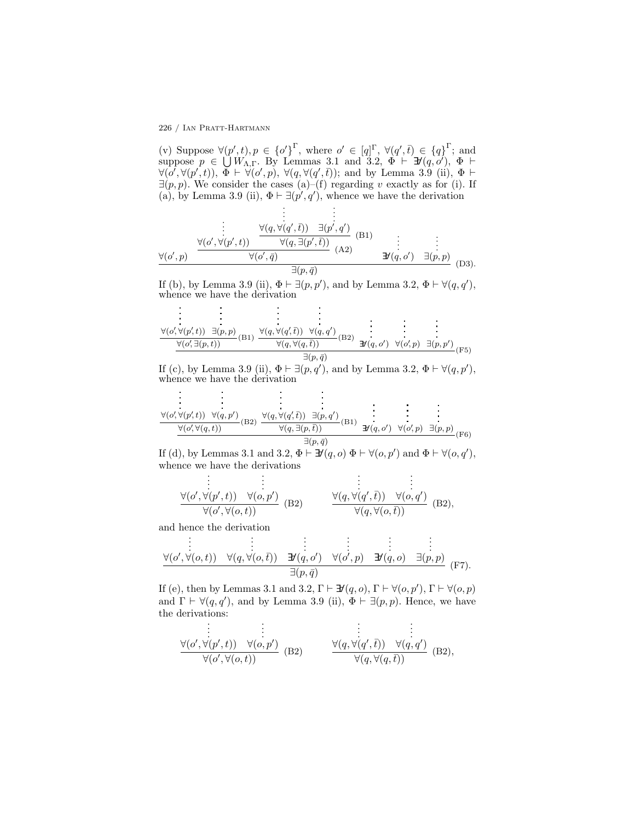$\mathcal{L}^{\mathcal{L}}$ 

(v) Suppose  $\forall (p', t), p \in \{o'\}^{\Gamma}$ , where  $o' \in [q]^{\Gamma}$ ,  $\forall (q', \overline{t}) \in \{q\}^{\Gamma}$ ; and suppose  $p \in \bigcup_{\Lambda,\Gamma} W_{\Lambda,\Gamma}$ . By Lemmas 3.1 and 3.2,  $\Phi \vdash \exists f(q, o'), \Phi \vdash$  $\forall (\overline{o'}\, \forall (p', t)), \ \Phi \vdash \forall (o', p), \ \forall (q, \forall (q', \overline{t})); \text{ and by Lemma 3.9 (ii), } \Phi \vdash$  $\exists (p, p)$ . We consider the cases (a)–(f) regarding *v* exactly as for (i). If (a), by Lemma 3.9 (ii),  $\Phi \vdash \exists (p', q')$ , whence we have the derivation

8(*o*<sup>0</sup> *, p*) . . . . 8(*o*<sup>0</sup> *,* 8(*p*<sup>0</sup> *, t*)) . . . . 8(*q,* 8(*q*<sup>0</sup> *,t* ¯)) . . . . 9(*p*<sup>0</sup> *, q*<sup>0</sup> ) 8(*q,* 9(*p*<sup>0</sup> *,t* ¯)) (B1) 8(*o*<sup>0</sup> *, <sup>q</sup>*¯) (A2) . . . Æ. (*q, o*<sup>0</sup> ) . . . . 9(*p, p*) <sup>9</sup>(*p, <sup>q</sup>*¯) (D3).

If (b), by Lemma 3.9 (ii),  $\Phi \vdash \exists (p, p')$ , and by Lemma 3.2,  $\Phi \vdash \forall (q, q')$ , whence we have the derivation  $\sim$   $\sim$ 

 $\sim 10$ 

$$
\frac{\forall (\sigma', \forall (p', t)) \quad \exists (p, p)}{\forall (\sigma', \exists (p, t))} (B1) \quad \frac{\forall (q, \forall (q', \overline{t})) \quad \forall (q, q')}{\forall (q, \forall (q, \overline{t}))} (B2) \quad \frac{\forall (\sigma, \forall (p, \overline{t}))}{\exists (p, \overline{q})} (B3) \quad \frac{\forall (\sigma', p) \quad \exists (p, p')}{\exists (p, \overline{t})} (F5)
$$

If (c), by Lemma 3.9 (ii),  $\Phi \vdash \exists (p, q')$ , and by Lemma 3.2,  $\Phi \vdash \forall (q, p')$ , whence we have the derivation

¯)) <sup>9</sup>(*p, q*<sup>0</sup> 8(*o*<sup>0</sup> *,* 8(*p*<sup>0</sup> *, t*)) 8(*q, p*<sup>0</sup> ) 8(*q,* 8(*q*<sup>0</sup> *,t* ) (B2) (B1) ¯)) <sup>Æ</sup> 8(*o*<sup>0</sup> *,* 8(*q, t*)) 8(*q,* 9(*p,t* (*q, o*0 ) 8(*o*<sup>0</sup> *, p*) 9(*p, p*) (F6) 9(*p, q*¯)

If (d), by Lemmas 3.1 and 3.2,  $\Phi \vdash \exists f(q, o) \Phi \vdash \forall (o, p')$  and  $\Phi \vdash \forall (o, q'),$ whence we have the derivations  $% \mathcal{N}$ 

$$
\begin{array}{cccc}\n\vdots & \vdots & \vdots & \vdots \\
\frac{\forall(o', \forall(p', t)) & \forall(o, p')}{\forall(o', \forall(o, t))} & \text{(B2)} & \frac{\forall(q, \forall(q', \overline{t})) & \forall(o, q')}{\forall(q, \forall(o, \overline{t}))} & \text{(B2)},\n\end{array}
$$

and hence the derivation

$$
\begin{array}{ccccccccc} \vdots & \vdots & \vdots & \vdots & \vdots & \vdots & \vdots \\ \underline{\forall(o',\forall(o,t))} & \forall(q,\forall(o,\bar{t})) & \underline{\exists} (q,o') & \forall(o',p) & \underline{\exists} (q,o) & \exists (p,p) & \vdots \\ & \exists (p,\bar{q}) & & & \end{array} \tag{F7}.
$$

If (e), then by Lemmas 3.1 and 3.2,  $\Gamma \vdash \exists f(q, o), \Gamma \vdash \forall (o, p'), \Gamma \vdash \forall (o, p)$ and  $\Gamma \vdash \forall (q, q')$ , and by Lemma 3.9 (ii),  $\Phi \vdash \exists (p, p)$ . Hence, we have the derivations:

$$
\begin{array}{cccc}\n\vdots & \vdots & \vdots & \vdots \\
\frac{\forall (o', \forall (p', t)) & \forall (o, p')}{\forall (o', \forall (o, t))} & \text{(B2)} & \frac{\forall (q, \forall (q', t)) & \forall (q, q')}{\forall (q, \forall (q, \overline{t}))} & \text{(B2)},\n\end{array}
$$